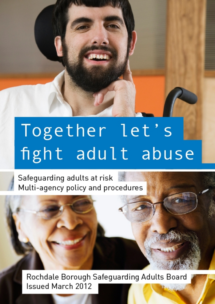# Together let's fight adult abuse

Safeguarding adults at risk Multi-agency policy and procedures

Rochdale Borough Safeguarding Adults Board Issued March 2012 **IF WE CANNON**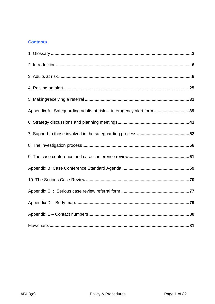# **Contents**

| Appendix A: Safeguarding adults at risk - interagency alert form 39 |  |
|---------------------------------------------------------------------|--|
|                                                                     |  |
|                                                                     |  |
|                                                                     |  |
|                                                                     |  |
|                                                                     |  |
|                                                                     |  |
|                                                                     |  |
|                                                                     |  |
|                                                                     |  |
|                                                                     |  |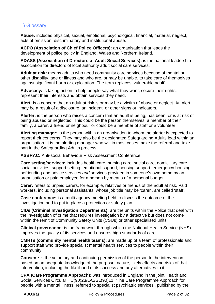# 1) Glossary

**Abuse:** includes physical, sexual, emotional, psychological, financial, material, neglect, acts of omission, discriminatory and institutional abuse.

**ACPO (Association of Chief Police Officers):** an organisation that leads the development of police policy in England, Wales and Northern Ireland.

**ADASS (Association of Directors of Adult Social Services):** is the national leadership association for directors of local authority adult social care services.

**Adult at risk:** means adults who need community care services because of mental or other disability, age or illness and who are, or may be unable, to take care of themselves against significant harm or exploitation. The term replaces 'vulnerable adult'.

**Advocacy:** is taking action to help people say what they want, secure their rights, represent their interests and obtain services they need.

**Alert:** is a concern that an adult at risk is or may be a victim of abuse or neglect. An alert may be a result of a disclosure, an incident, or other signs or indicators.

**Alerter:** is the person who raises a concern that an adult is being, has been, or is at risk of being abused or neglected. This could be the person themselves, a member of their family, a carer, a friend or neighbour or could be a member of staff or a volunteer.

**Alerting manager:** is the person within an organisation to whom the alerter is expected to report their concerns. They may also be the designated Safeguarding Adults lead within an organisation. It is the alerting manager who will in most cases make the referral and take part in the Safeguarding Adults process.

**ASBRAC:** Anti-social Behaviour Risk Assessment Conference

**Care setting/services:** includes health care, nursing care, social care, domiciliary care, social activities, support setting, emotional support, housing support, emergency housing, befriending and advice services *and* services provided in someone's own home by an organisation or paid employee for a person by means of a personal budget.

**Carer:** refers to unpaid carers, for example, relatives or friends of the adult at risk. Paid workers, including personal assistants, whose job title may be 'carer', are called 'staff'.

**Case conference:** is a multi-agency meeting held to discuss the outcome of the investigation and to put in place a protection or safety plan.

**CIDs (Criminal Investigation Departments):** are the units within the Police that deal with the investigation of crime that requires investigation by a detective but does not come within the remit of Community Safety Units (CSUs) or other specialised units.

**Clinical governance:** is the framework through which the National Health Service (NHS) improves the quality of its services and ensures high standards of care.

**CMHTs (community mental health teams):** are made up of a team of professionals and support staff who provide specialist mental health services to people within their community.

**Consent:** is the voluntary and continuing permission of the person to the intervention based on an adequate knowledge of the purpose, nature, likely effects and risks of that intervention, including the likelihood of its success and any alternatives to it.

**CPA (Care Programme Approach):** was introduced in England in the joint Health and Social Services Circular HC(90)23/LASSL(90)11, 'The Care Programme Approach for people with a mental illness, referred to specialist psychiatric services', published by the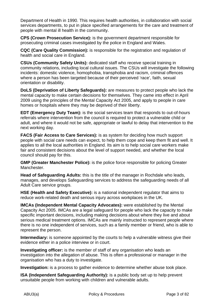Department of Health in 1990. This requires health authorities, in collaboration with social services departments, to put in place specified arrangements for the care and treatment of people with mental ill health in the community.

**CPS (Crown Prosecution Service):** is the government department responsible for prosecuting criminal cases investigated by the police in England and Wales.

**CQC (Care Quality Commission):** is responsible for the registration and regulation of health and social care in England.

**CSUs (Community Safety Units):** dedicated staff who receive special training in community relations, including local cultural issues. The CSUs will investigate the following incidents: domestic violence, homophobia, transphobia and racism, criminal offences where a person has been targeted because of their perceived 'race', faith, sexual orientation or disability.

**DoLS (Deprivation of Liberty Safeguards):** are measures to protect people who lack the mental capacity to make certain decisions for themselves. They came into effect in April 2009 using the principles of the Mental Capacity Act 2005, and apply to people in care homes or hospitals where they may be deprived of their liberty.

**EDT (Emergency Duty Team):** is the social services team that responds to out-of-hours referrals where intervention from the council is required to protect a vulnerable child or adult, and where it would not be safe, appropriate or lawful to delay that intervention to the next working day.

**FACS (Fair Access to Care Services):** is as system for deciding how much support people with social care needs can expect, to help them cope and keep them fit and well. It applies to all the local authorities in England. Its aim is to help social care workers make fair and consistent decisions about the level of support needed, and whether the local council should pay for this.

**GMP (Greater Manchester Police):** is the police force responsible for policing Greater Manchester.

**Head of Safeguarding Adults:** this is the title of the manager in Rochdale who leads, manages, and develops Safeguarding services to address the safeguarding needs of all Adult Care service groups.

**HSE (Health and Safety Executive):** is a national independent regulator that aims to reduce work-related death and serious injury across workplaces in the UK.

**IMCAs (Independent Mental Capacity Advocates):** were established by the Mental Capacity Act 2005. IMCAs are a legal safeguard for people who lack the capacity to make specific important decisions, including making decisions about where they live and about serious medical treatment options. IMCAs are mainly instructed to represent people where there is no one independent of services, such as a family member or friend, who is able to represent the person.

**Intermediary:** is someone appointed by the courts to help a vulnerable witness give their evidence either in a police interview or in court.

**Investigating officer:** is the member of staff of any organisation who leads an investigation into the allegation of abuse. This is often a professional or manager in the organisation who has a duty to investigate.

**Investigation:** is a process to gather evidence to determine whether abuse took place.

**ISA (Independent Safeguarding Authority):** is a public body set up to help prevent unsuitable people from working with children and vulnerable adults.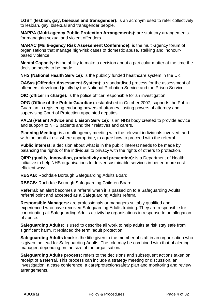**LGBT (lesbian, gay, bisexual and transgender):** is an acronym used to refer collectively to lesbian, gay, bisexual and transgender people.

**MAPPA (Multi-agency Public Protection Arrangements):** are statutory arrangements for managing sexual and violent offenders.

**MARAC (Multi-agency Risk Assessment Conference):** is the multi-agency forum of organisations that manage high-risk cases of domestic abuse, stalking and 'honour' based violence.

**Mental Capacity:** is the ability to make a decision about a particular matter at the time the decision needs to be made.

**NHS (National Health Service):** is the publicly funded healthcare system in the UK.

**OASys (Offender Assessment System)**: a standardised process for the assessment of offenders, developed jointly by the National Probation Service and the Prison Service.

**OIC (officer in charge):** is the police officer responsible for an investigation.

**OPG (Office of the Public Guardian)**: established in October 2007, supports the Public Guardian in registering enduring powers of attorney, lasting powers of attorney and supervising Court of Protection appointed deputies.

**PALS (Patient Advice and Liaison Service):** is an NHS body created to provide advice and support to NHS patients and their relatives and carers.

**Planning Meeting:** is a multi-agency meeting with the relevant individuals involved, and with the adult at risk where appropriate, to agree how to proceed with the referral.

**Public interest:** a decision about what is in the public interest needs to be made by balancing the rights of the individual to privacy with the rights of others to protection.

**QIPP (quality, innovation, productivity and prevention):** is a Department of Health initiative to help NHS organisations to deliver sustainable services in better, more costefficient ways.

**RBSAB:** Rochdale Borough Safeguarding Adults Board.

**RBSCB:** Rochdale Borough Safeguarding Children Board

**Referral:** an alert becomes a referral when it is passed on to a Safeguarding Adults referral point and accepted as a Safeguarding Adults referral.

**Responsible Managers:** are professionals or managers suitably qualified and experienced who have received Safeguarding Adults training. They are responsible for coordinating all Safeguarding Adults activity by organisations in response to an allegation of abuse.

**Safeguarding Adults:** is used to describe all work to help adults at risk stay safe from significant harm. It replaced the term 'adult protection'.

**Safeguarding Adults lead:** is the title given to the member of staff in an organisation who is given the lead for Safeguarding Adults. The role may be combined with that of alerting manager, depending on the size of the organisation**.**

**Safeguarding Adults process:** refers to the decisions and subsequent actions taken on receipt of a referral. This process can include a strategy meeting or discussion, an investigation, a case conference, a care/protection/safety plan and monitoring and review arrangements.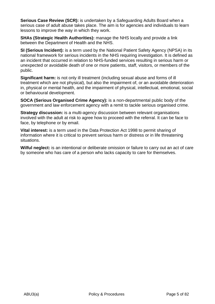**Serious Case Review (SCR):** is undertaken by a Safeguarding Adults Board when a serious case of adult abuse takes place. The aim is for agencies and individuals to learn lessons to improve the way in which they work.

**SHAs (Strategic Health Authorities):** manage the NHS locally and provide a link between the Department of Health and the NHS.

**SI (Serious Incident):** is a term used by the National Patient Safety Agency (NPSA) in its national framework for serious incidents in the NHS requiring investigation. It is defined as an incident that occurred in relation to NHS-funded services resulting in serious harm or unexpected or avoidable death of one or more patients, staff, visitors, or members of the public.

**Significant harm:** is not only ill treatment (including sexual abuse and forms of ill treatment which are not physical), but also the impairment of, or an avoidable deterioration in, physical or mental health, and the impairment of physical, intellectual, emotional, social or behavioural development.

**SOCA (Serious Organised Crime Agency):** is a non-departmental public body of the government and law enforcement agency with a remit to tackle serious organised crime.

**Strategy discussion:** is a multi-agency discussion between relevant organisations involved with the adult at risk to agree how to proceed with the referral. It can be face to face, by telephone or by email.

**Vital interest:** is a term used in the Data Protection Act 1998 to permit sharing of information where it is critical to prevent serious harm or distress or in life threatening situations.

**Wilful neglect:** is an intentional or deliberate omission or failure to carry out an act of care by someone who has care of a person who lacks capacity to care for themselves.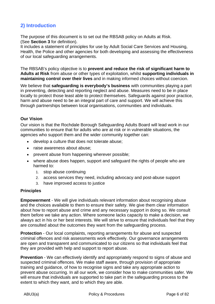# **2) Introduction**

The purpose of this document is to set out the RBSAB policy on Adults at Risk. (See **Section 3** for definition).

It includes a statement of principles for use by Adult Social Care Services and Housing, Health, the Police and other agencies for both developing and assessing the effectiveness of our local safeguarding arrangements.

The RBSAB's policy objective is to **prevent and reduce the risk of significant harm to Adults at Risk** from abuse or other types of exploitation, whilst **supporting individuals in maintaining control over their lives** and in making informed choices without coercion.

We believe that **safeguarding is everybody's business** with communities playing a part in preventing, detecting and reporting neglect and abuse. Measures need to be in place locally to protect those least able to protect themselves. Safeguards against poor practice, harm and abuse need to be an integral part of care and support. We will achieve this through partnerships between local organisations, communities and individuals.

# **Our Vision**

Our vision is that the Rochdale Borough Safeguarding Adults Board will lead work in our communities to ensure that for adults who are at risk or in vulnerable situations, the agencies who support them and the wider community together can:

- develop a culture that does not tolerate abuse;
- raise awareness about abuse;
- prevent abuse from happening wherever possible;
- where abuse does happen, support and safeguard the rights of people who are harmed to:
	- 1. stop abuse continuing
	- 2. access services they need, including advocacy and post-abuse support
	- 3. have improved access to justice

# **Principles**

**Empowerment** - We will give individuals relevant information about recognising abuse and the choices available to them to ensure their safety. We give them clear information about how to report abuse and crime and any necessary support in doing so. We consult them before we take any action. Where someone lacks capacity to make a decision, we always act in his or her best interests. We will strive to ensure that individuals feel that they are consulted about the outcomes they want from the safeguarding process.

**Protection** - Our local complaints, reporting arrangements for abuse and suspected criminal offences and risk assessments work effectively. Our governance arrangements are open and transparent and communicated to our citizens so that individuals feel that they are provided with help and support to report abuse.

**Prevention** - We can effectively identify and appropriately respond to signs of abuse and suspected criminal offences. We make staff aware, through provision of appropriate training and guidance, of how to recognise signs and take any appropriate action to prevent abuse occurring. In all our work, we consider how to make communities safer. We will ensure that individuals are supported to take part in the safeguarding process to the extent to which they want, and to which they are able.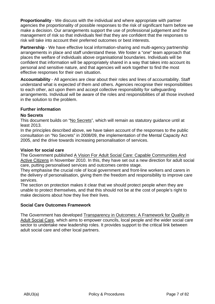**Proportionality** - We discuss with the individual and where appropriate with partner agencies the proportionality of possible responses to the risk of significant harm before we make a decision. Our arrangements support the use of professional judgement and the management of risk so that individuals feel that they are confident that the responses to risk will take into account their preferred outcomes or best interests.

**Partnership** - We have effective local information-sharing and multi-agency partnership arrangements in place and staff understand these. We foster a "one" team approach that places the welfare of individuals above organisational boundaries. Individuals will be confident that information will be appropriately shared in a way that takes into account its personal and sensitive nature, and that agencies will work together to find the most effective responses for their own situation.

**Accountability** - All agencies are clear about their roles and lines of accountability. Staff understand what is expected of them and others. Agencies recognise their responsibilities to each other, act upon them and accept collective responsibility for safeguarding arrangements. Individual will be aware of the roles and responsibilities of all those involved in the solution to the problem.

# **Further information**

# **No Secrets**

This document builds on "No Secrets", which will remain as statutory guidance until at least 2013.

In the principles described above, we have taken account of the responses to the public consultation on "No Secrets" in 2008/09, the implementation of the Mental Capacity Act 2005, and the drive towards increasing personalisation of services.

# **Vision for social care**

The Government published A Vision For Adult Social Care: Capable Communities And Active Citizens in November 2010. In this, they have set out a new direction for adult social care, putting personalised services and outcomes centre stage.

They emphasise the crucial role of local government and front-line workers and carers in the delivery of personalisation, giving them the freedom and responsibility to improve care services.

The section on protection makes it clear that we should protect people when they are unable to protect themselves, and that this should not be at the cost of people's right to make decisions about how they live their lives.

# **Social Care Outcomes Framework**

The Government has developed Transparency in Outcomes: A Framework for Quality in Adult Social Care, which aims to empower councils, local people and the wider social care sector to undertake new leadership roles. It provides support to the critical link between adult social care and other local partners.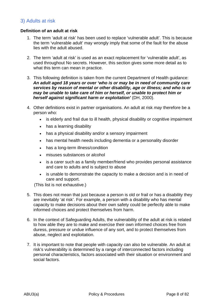# 3) Adults at risk

# **Definition of an adult at risk**

- 1. The term 'adult at risk' has been used to replace 'vulnerable adult'. This is because the term 'vulnerable adult' may wrongly imply that some of the fault for the abuse lies with the adult abused.
- 2. The term 'adult at risk' is used as an exact replacement for 'vulnerable adult', as used throughout No secrets. However, this section gives some more detail as to what this term can mean in practice.
- 3. This following definition is taken from the current Department of Health guidance: *An adult aged 18 years or over 'who is or may be in need of community care services by reason of mental or other disability, age or illness; and who is or may be unable to take care of him or herself, or unable to protect him or herself against significant harm or exploitation'* (DH, 2000).
- 4. Other definitions exist in partner organisations. An adult at risk *may* therefore be a person who:
	- is elderly and frail due to ill health, physical disability or cognitive impairment
	- has a learning disability
	- has a physical disability and/or a sensory impairment
	- has mental health needs including dementia or a personality disorder
	- has a long-term illness/condition
	- misuses substances or alcohol
	- is a carer such as a family member/friend who provides personal assistance and care to adults and is subject to abuse
	- is unable to demonstrate the capacity to make a decision and is in need of care and support.

(This list is not exhaustive.)

- 5. This does not mean that just because a person is old or frail or has a disability they are inevitably 'at risk'. For example, a person with a disability who has mental capacity to make decisions about their own safety could be perfectly able to make informed choices and protect themselves from harm.
- 6. In the context of Safeguarding Adults, the vulnerability of the adult at risk is related to how able they are to make and exercise their own informed choices free from duress, pressure or undue influence of any sort, and to protect themselves from abuse, neglect and exploitation.
- 7. It is important to note that people with capacity can also be vulnerable. An adult at risk's vulnerability is determined by a range of interconnected factors including personal characteristics, factors associated with their situation or environment and social factors.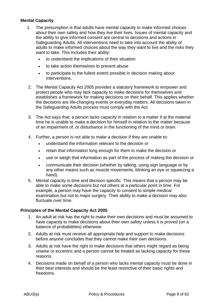# **Mental Capacity**

- 1. The presumption is that adults have mental capacity to make informed choices about their own safety and how they live their lives. Issues of mental capacity and the ability to give informed consent are central to decisions and actions in Safeguarding Adults. All interventions need to take into account the ability of adults to make informed choices about the way they want to live and the risks they want to take. This includes their ability:
	- to understand the implications of their situation
	- to take action themselves to prevent abuse
	- to participate to the fullest extent possible in decision making about interventions.
- 2. The Mental Capacity Act 2005 provides a statutory framework to empower and protect people who may lack capacity to make decisions for themselves and establishes a framework for making decisions on their behalf. This applies whether the decisions are life-changing events or everyday matters. All decisions taken in the Safeguarding Adults process must comply with the Act.
- 3. The Act says that: a person lacks capacity in relation to a matter if at the material time he is unable to make a decision for himself in relation to the matter because of an impairment of, or disturbance in the functioning of the mind or brain.
- 4. Further, a person is not able to make a decision if they are unable to:
	- understand the information relevant to the decision or
	- retain that information long enough for them to make the decision or
	- use or weigh that information as part of the process of making the decision or
	- communicate their decision (whether by talking, using sign language or by any other means such as muscle movements, blinking an eye or squeezing a hand).
- 5. Mental capacity is time and decision specific. This means that a person may be able to make some decisions but not others at a particular point in time. For example, a person may have the capacity to consent to simple medical examination but not to major surgery. Their ability to make a decision may also fluctuate over time.

# **Principles of the Mental Capacity Act 2005**

- 1. An adult at risk has the right to make their own decisions and must be assumed to have capacity to make decisions about their own safety unless it is proved (on a balance of probabilities) otherwise.
- 2. Adults at risk must receive all appropriate help and support to make decisions before anyone concludes that they cannot make their own decisions.
- 3. Adults at risk have the right to make decisions that others might regard as being unwise or eccentric and a person cannot be treated as lacking capacity for these reasons.
- 4. Decisions made on behalf of a person who lacks mental capacity must be done in their best interests and should be the least restrictive of their basic rights and freedoms.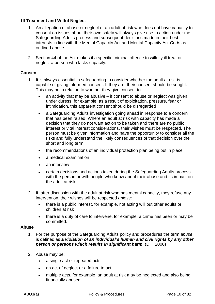# **Ill Treatment and Wilful Neglect**

- 1. An allegation of abuse or neglect of an adult at risk who does not have capacity to consent on issues about their own safety will always give rise to action under the Safeguarding Adults process and subsequent decisions made in their best interests in line with the Mental Capacity Act and Mental Capacity Act *Code* as outlined above.
- 2. Section 44 of the Act makes it a specific criminal offence to wilfully ill treat or neglect a person who lacks capacity.

#### **Consent**

- 1. It is always essential in safeguarding to consider whether the adult at risk is capable of giving informed consent. If they are, their consent should be sought. This may be in relation to whether they give consent to:
	- $\bullet$  an activity that may be abusive if consent to abuse or neglect was given under duress, for example, as a result of exploitation, pressure, fear or intimidation, this apparent consent should be disregarded
	- a Safeguarding Adults investigation going ahead in response to a concern that has been raised. Where an adult at risk with capacity has made a decision that they do not want action to be taken and there are no public interest or vital interest considerations, their wishes must be respected. The person must be given information and have the opportunity to consider all the risks and fully understand the likely consequences of that decision over the short and long term
	- the recommendations of an individual protection plan being put in place
	- a medical examination
	- an interview
	- certain decisions and actions taken during the Safeguarding Adults process with the person or with people who know about their abuse and its impact on the adult at risk.
- 2. If, after discussion with the adult at risk who has mental capacity, they refuse any intervention, their wishes will be respected *unless*:
	- there is a public interest, for example, not acting will put other adults or children at risk
	- there is a duty of care to intervene, for example, a crime has been or may be committed.

#### **Abuse**

- 1. For the purpose of the Safeguarding Adults policy and procedures the term *abuse*  is defined as *a violation of an individual's human and civil rights by any other person or persons which results in significant harm*. (DH, 2000)
- 2. Abuse may be:
	- a single act or repeated acts
	- an act of neglect or a failure to act
	- multiple acts, for example, an adult at risk may be neglected and also being financially abused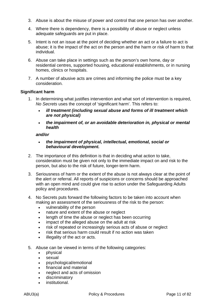- 3. Abuse is about the misuse of power and control that one person has over another.
- 4. Where there is dependency, there is a possibility of abuse or neglect unless adequate safeguards are put in place.
- 5. Intent is not an issue at the point of deciding whether an act or a failure to act is abuse; it is the impact of the act on the person and the harm or risk of harm to that individual.
- 6. Abuse can take place in settings such as the person's own home, day or residential centres, supported housing, educational establishments, or in nursing homes, clinics or hospitals.
- 7. A number of abusive acts are crimes and informing the police must be a key consideration.

# **Significant harm**

- 1. In determining what justifies intervention and what sort of intervention is required, *No Secrets* uses the concept of 'significant harm'. This refers to:
	- *ill treatment (including sexual abuse and forms of ill treatment which are not physical)*
	- *the impairment of, or an avoidable deterioration in, physical or mental health*

*and/or* 

- *the impairment of physical, intellectual, emotional, social or behavioural development.*
- 2. The importance of this definition is that in deciding what action to take, consideration must be given not only to the immediate impact on and risk to the person, but also to the risk of future, longer-term harm.
- 3. Seriousness of harm or the extent of the abuse is not always clear at the point of the alert or referral. All reports of suspicions or concerns should be approached with an open mind and could give rise to action under the Safeguarding Adults policy and procedures.
- 4. No Secrets puts forward the following factors to be taken into account when making an assessment of the seriousness of the risk to the person:
	- vulnerability of the person
	- nature and extent of the abuse or neglect
	- length of time the abuse or neglect has been occurring
	- impact of the alleged abuse on the adult at risk
	- risk of repeated or increasingly serious acts of abuse or neglect
	- risk that serious harm could result if no action was taken
	- illegality of the act or acts.
- 5. Abuse can be viewed in terms of the following categories:
	- physical
	- sexual
	- psychological/emotional
	- financial and material
	- neglect and acts of omission
	- discriminatory
	- institutional.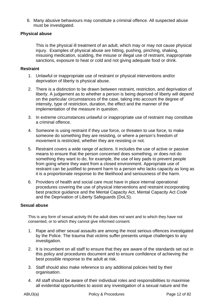6. Many abusive behaviours may constitute a criminal offence. All suspected abuse must be investigated.

# **Physical abuse**

This is the physical ill treatment of an adult, which may or may not cause physical injury. Examples of physical abuse are hitting, pushing, pinching, shaking, misusing medication, scalding, the misuse or illegal use of restraint, inappropriate sanctions, exposure to heat or cold and not giving adequate food or drink.

# **Restraint**

- 1. Unlawful or inappropriate use of restraint or physical interventions and/or deprivation of liberty is physical abuse.
- 2. There is a distinction to be drawn between restraint, restriction, and deprivation of liberty. A judgement as to whether a person is being deprived of liberty will depend on the particular circumstances of the case, taking into account the degree of intensity, type of restriction, duration, the effect and the manner of the implementation of the measure in question.
- 3. In extreme circumstances unlawful or inappropriate use of restraint may constitute a criminal offence.
- 4. Someone is using restraint if they use force, or threaten to use force, to make someone do something they are resisting, or where a person's freedom of movement is restricted, whether they are resisting or not.
- 5. Restraint covers a wide range of actions. It includes the use of active or passive means to ensure that the person concerned does something, or does not do something they want to do, for example, the use of key pads to prevent people from going where they want from a closed environment. Appropriate use of restraint can be justified to prevent harm to a person who lacks capacity as long as it is a proportionate response to the likelihood and seriousness of the harm.
- 6. Providers of health and social care must have in place internal operational procedures covering the use of physical interventions and restraint incorporating best practice guidance and the Mental Capacity Act, Mental Capacity Act *Code*  and the Deprivation of Liberty Safeguards (DoLS).

# **Sexual abuse**

This is any form of sexual activity tht the adult does not want and to which they have not consented, or to which they cannot give informed consent.

- 1. Rape and other sexual assaults are among the most serious offences investigated by the Police. The trauma that victims suffer presents unique challenges to any investigation.
- 2. It is incumbent on all staff to ensure that they are aware of the standards set out in this policy and procedures document and to ensure confidence of achieving the best possible response to the adult at risk.
- 3. Staff should also make reference to any additional policies held by their organisation.
- 4. All staff should be aware of their individual roles and responsibilities to maximise all evidential opportunities to assist any investigation of a sexual nature and the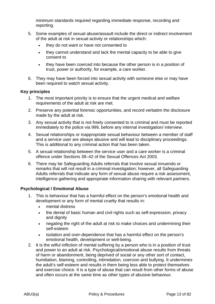minimum standards required regarding immediate response, recording and reporting.

- 5. Some examples of sexual abuse/assault include the direct or indirect involvement of the adult at risk in sexual activity or relationships which:
	- they do not want or have not consented to
	- they cannot understand and lack the mental capacity to be able to give consent to
	- they have been coerced into because the other person is in a position of trust, power or authority, for example, a care worker.
- 6. They may have been forced into sexual activity with someone else or may have been required to watch sexual activity.

#### **Key principles**

- 1. The most important priority is to ensure that the urgent medical and welfare requirements of the adult at risk are met.
- 2. Preserve any potential forensic opportunities, and record verbatim the disclosure made by the adult at risk.
- 3. Any sexual activity that is not freely consented to is criminal and must be reported immediately to the police via 999, before any internal investigation/ interview.
- 4. Sexual relationships or inappropriate sexual behaviour between a member of staff and a service user are always abusive and will lead to disciplinary proceedings. This is additional to any criminal action that has been taken.
- 5. A sexual relationship between the service user and a care worker is a criminal offence under Sections 38–42 of the Sexual Offences Act 2003.
- 6. There may be Safeguarding Adults referrals that involve sexual innuendo or remarks that will not result in a criminal investigation; however, all Safeguarding Adults referrals that indicate any form of sexual abuse require a risk assessment, intelligence gathering and appropriate information sharing with relevant partners.

# **Psychological / Emotional Abuse**

- 1. This is behaviour that has a harmful effect on the person's emotional health and development or any form of mental cruelty that results in:
	- mental distress
	- the denial of basic human and civil rights such as self-expression, privacy and dignity
	- negating the right of the adult at risk to make choices and undermining their self-esteem
	- isolation and over-dependence that has a harmful effect on the person's emotional health, development or well-being.
- 2. It is the wilful infliction of mental suffering by a person who is in a position of trust and power to an adult at risk. Psychological/emotional abuse results from threats of harm or abandonment, being deprived of social or any other sort of contact, humiliation, blaming, controlling, intimidation, coercion and bullying. It undermines the adult's self-esteem and results in them being less able to protect themselves and exercise choice. It is a type of abuse that can result from other forms of abuse and often occurs at the same time as other types of abusive behaviour.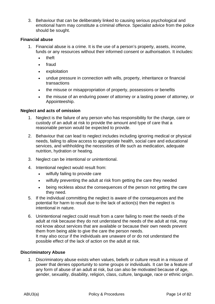3. Behaviour that can be deliberately linked to causing serious psychological and emotional harm may constitute a criminal offence. Specialist advice from the police should be sought.

# **Financial abuse**

- 1. Financial abuse is a crime. It is the use of a person's property, assets, income, funds or any resources without their informed consent or authorisation. It includes:
	- theft
	- fraud
	- exploitation
	- undue pressure in connection with wills, property, inheritance or financial transactions
	- the misuse or misappropriation of property, possessions or benefits
	- the misuse of an enduring power of attorney or a lasting power of attorney, or Appointeeship.

# **Neglect and acts of omission**

- 1. Neglect is the failure of any person who has responsibility for the charge, care or custody of an adult at risk to provide the amount and type of care that a reasonable person would be expected to provide.
- 2. Behaviour that can lead to neglect includes including ignoring medical or physical needs, failing to allow access to appropriate health, social care and educational services, and withholding the necessities of life such as medication, adequate nutrition, hydration or heating.
- 3. Neglect can be intentional or unintentional.
- 4. Intentional neglect would result from:
	- wilfully failing to provide care
	- wilfully preventing the adult at risk from getting the care they needed
	- being reckless about the consequences of the person not getting the care they need.
- 5. If the individual committing the neglect is aware of the consequences and the potential for harm to result due to the lack of action(s) then the neglect is intentional in nature.
- 6. Unintentional neglect could result from a carer failing to meet the needs of the adult at risk because they do not understand the needs of the adult at risk, may not know about services that are available or because their own needs prevent them from being able to give the care the person needs. It may also occur if the individuals are unaware of or do not understand the possible effect of the lack of action on the adult at risk.

# **Discriminatory Abuse**

1. Discriminatory abuse exists when values, beliefs or culture result in a misuse of power that denies opportunity to some groups or individuals. It can be a feature of any form of abuse of an adult at risk, but can also be motivated because of age, gender, sexuality, disability, religion, class, culture, language, race or ethnic origin.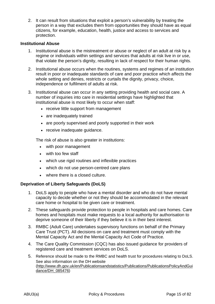2. It can result from situations that exploit a person's vulnerability by treating the person in a way that excludes them from opportunities they should have as equal citizens, for example, education, health, justice and access to services and protection.

#### **Institutional Abuse**

- 1. Institutional abuse is the mistreatment or abuse or neglect of an adult at risk by a regime or individuals within settings and services that adults at risk live in or use, that violate the person's dignity, resulting in lack of respect for their human rights.
- 2. Institutional abuse occurs when the routines, systems and regimes of an institution result in poor or inadequate standards of care and poor practice which affects the whole setting and denies, restricts or curtails the dignity, privacy, choice, independence or fulfilment of adults at risk.
- 3. Institutional abuse can occur in any setting providing health and social care. A number of inquiries into care in residential settings have highlighted that institutional abuse is most likely to occur when staff:
	- receive little support from management
	- are inadequately trained
	- are poorly supervised and poorly supported in their work
	- receive inadequate guidance.

The risk of abuse is also greater in institutions:

- with poor management
- with too few staff
- which use rigid routines and inflexible practices
- which do not use person-centred care plans
- where there is a closed culture.

# **Deprivation of Liberty Safeguards (DoLS)**

- 1. DoLS apply to people who have a mental disorder and who do not have mental capacity to decide whether or not they should be accommodated in the relevant care home or hospital to be given care or treatment.
- 2. These safeguards provide protection to people in hospitals and care homes. Care homes and hospitals must make requests to a local authority for authorisation to deprive someone of their liberty if they believe it is in their best interest.
- 3. RMBC (Adult Care) undertakes supervisory functions on behalf of the Primary Care Trust (PCT). All decisions on care and treatment must comply with the Mental Capacity Act and the Mental Capacity Act Code of Practice.
- 4. The Care Quality Commission (CQC) has also issued guidance for providers of registered care and treatment services on DoLS.
- 5. Reference should be made to the RMBC and health trust for procedures relating to DoLS. See also information on the DH website (http://www.dh.gov.uk/en/Publicationsandstatistics/Publications/PublicationsPolicyAndGui dance/DH\_085476)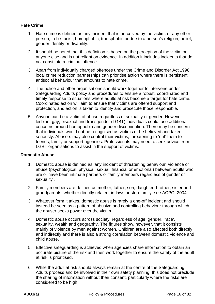# **Hate Crime**

- 1. Hate crime is defined as any incident that is perceived by the victim, or any other person, to be racist, homophobic, transphobic or due to a person's religion, belief, gender identity or disability.
- 2. It should be noted that this definition is based on the perception of the victim or anyone else and is not reliant on evidence. In addition it includes incidents that do not constitute a criminal offence.
- 3. Apart from individually charged offences under the Crime and Disorder Act 1998, local crime reduction partnerships can prioritise action where there is persistent antisocial behaviour that amounts to hate crime.
- 4. The police and other organisations should work together to intervene under Safeguarding Adults policy and procedures to ensure a robust, coordinated and timely response to situations where adults at risk become a target for hate crime. Coordinated action will aim to ensure that victims are offered support and protection, and action is taken to identify and prosecute those responsible.
- 5. Anyone can be a victim of abuse regardless of sexuality or gender. However lesbian, gay, bisexual and transgender (LGBT) individuals could face additional concerns around homophobia and gender discrimination. There may be concern that individuals would not be recognised as victims or be believed and taken seriously. Abusers may also control their victims, threatening to 'out' them to friends, family or support agencies. Professionals may need to seek advice from LGBT organisations to assist in the support of victims.

# **Domestic Abuse**

- 1. Domestic abuse is defined as 'any incident of threatening behaviour, violence or abuse (psychological, physical, sexual, financial or emotional) between adults who are or have been intimate partners or family members regardless of gender or sexuality'.
- 2. Family members are defined as mother, father, son, daughter, brother, sister and grandparents, whether directly related, in-laws or step-family; see ACPO, 2004.
- 3. Whatever form it takes, domestic abuse is rarely a one-off incident and should instead be seen as a pattern of abusive and controlling behaviour through which the abuser seeks power over the victim.
- 4. Domestic abuse occurs across society, regardless of age, gender, 'race', sexuality, wealth and geography. The figures show, however, that it consists mainly of violence by men against women. Children are also affected both directly and indirectly and there is also a strong correlation between domestic violence and child abuse.
- 5. Effective safeguarding is achieved when agencies share information to obtain an accurate picture of the risk and then work together to ensure the safety of the adult at risk is prioritised.
- 6. While the adult at risk should always remain at the centre of the Safeguarding Adults process and be involved in their own safety planning, this does not preclude the sharing of information without their consent, particularly where the risks are considered to be high.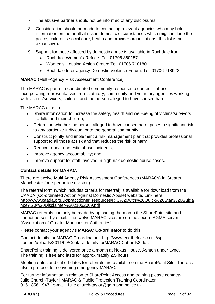- 7. The abusive partner should not be informed of any disclosures.
- 8. Consideration should be made to contacting relevant agencies who may hold information on the adult at risk in domestic circumstances which might include the police, children's social care, health and provider organisations (this list is not exhaustive).
- 9. Support for those affected by domestic abuse is available in Rochdale from:
	- Rochdale Women's Refuge: Tel. 01706 860157
	- Women's Housing Action Group: Tel. 01706 718180
	- Rochdale Inter-agency Domestic Violence Forum: Tel. 01706 718923

# **MARAC** (Multi-Agency Risk Assessment Conference)

The MARAC is part of a coordinated community response to domestic abuse, incorporating representatives from statutory, community and voluntary agencies working with victims/survivors, children and the person alleged to have caused harm.

The MARAC aims to:

- Share information to increase the safety, health and well-being of victims/survivors – adults and their children;
- Determine whether the person alleged to have caused harm poses a significant risk to any particular individual or to the general community;
- Construct jointly and implement a risk management plan that provides professional support to all those at risk and that reduces the risk of harm;
- Reduce repeat domestic abuse incidents;
- Improve agency accountability; and
- Improve support for staff involved in high-risk domestic abuse cases.

# **Contact details for MARAC:**

There are twelve Multi Agency Risk Assessment Conferences (MARACs) in Greater Manchester (one per police division).

The referral form (which includes criteria for referral) is available for download from the CAADA (Co-ordinated Action Against Domestic Abuse) website. Link here: http://www.caada.org.uk/practitioner\_resources/RIC%20with%20Quick%20Start%20Guida nce%20%20Disclaimer%2021052009.pdf

MARAC referrals can only be made by uploading them onto the SharePoint site and cannot be sent by email. The twelve MARAC sites are on the secure AGMA server (Association of Greater Manchester Authorities).

Please contact your agency's **MARAC Co-ordinator** to do this.

Contact details for MARAC Co-ordinators: http://www.endthefear.co.uk/wpcontent/uploads/2011/09/Contact-details-forMARAC-Co0ords2.doc

SharePoint training is delivered once a month at Nexus House, Ashton under Lyne. The training is free and lasts for approximately 2.5 hours.

Meeting dates and cut off dates for referrals are available on the SharePoint Site. There is also a protocol for convening emergency MARACs

For further information in relation to SharePoint Access and training please contact:- Julie Church-Taylor | MARAC & Public Protection Training Coordinator 0161 856 1947 | e-mail: Julie.church-taylor@gmp.pnn.police.uk.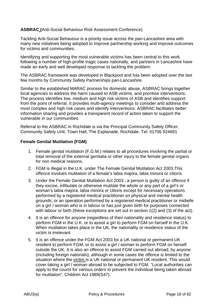# **ASBRAC (**Anti-Social Behaviour Risk Assessment Conference)

Tackling Anti-Social Behaviour is a priority issue across the pan-Lancashire area with many new initiatives being adopted to improve partnership working and improve outcomes for victims and communities.

Identifying and supporting the most vulnerable victims has been central to this work following a number of high-profile tragic cases nationally, and partners in Lancashire have made an early and well developed response to tackling the problem.

The ASBRAC framework was developed in Blackpool and has been adopted over the last few months by Community Safety Partnerships pan-Lancashire.

Similar to the established MARAC process for domestic abuse, ASBRAC brings together local agencies to address the harm caused to ASB victims, and prioritise interventions. The process identifies low, medium and high risk victims of ASB and identifies support from the point of referral. It provides multi-agency meetings to consider and address the most complex and high risk cases and identify interventions. ASBRAC facilitates better information sharing and provides a transparent record of action taken to support the vulnerable in our communities.

Referral to the ASBRAC in Rochdale is via the Principal Community Safety Officer, Community Safety Unit, Town Hall, The Esplanade, Rochdale. Tel: 01706 924691

# **Female Genital Mutilation (FGM)**

- 1. Female genital mutilation (F.G.M.) relates to all procedures involving the partial or total removal of the external genitalia or other injury to the female genital organs for non medical reasons.
- 2. FGM is illegal in the U.K. under The Female Genital Mutilation Act 2003.This offence involves mutilation of a female's labia majora, labia minora or clitoris.
- 3. Under the Female Genital Mutilation Act 2003 , a person is guilty of an offence if they excise, infibulate or otherwise mutilate the whole or any part of a girl's or woman's labia majora, labia minora or clitoris except for necessary operations performed by a registered medical practitioner on physical and mental health grounds; or an operation performed by a registered medical practitioner or midwife on a girl / woman who is in labour or has just given birth for purposes connected with labour or birth (these exceptions are set out in section 1(2) and (3) of the act).
- 4. It is an offence for anyone (regardless of their nationality and residence status) to perform FGM in the U.K. or to assist a girl to perform FGM on herself in the U.K. When mutilation takes place in the UK, the nationality or residence status of the victim is irrelevant.
- 5. It is an offence under the FGM Act 2003 for a UK national or permanent UK resident to perform FGM, or to assist a girl / woman to perform FGM on herself outside the UK. It is also an offence to assist FGM carried out abroad, by anyone (including foreign nationals); although in some cases the offence is limited to the situation where the victim is a UK national or permanent UK resident. This would cover taking a girl / woman abroad to be subjected to FGM. "Local authorities can apply to the courts for various orders to prevent the individual being taken abroad for mutilation", Children Act 1989(S47).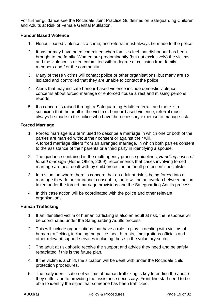For further guidance see the Rochdale Joint Practice Guidelines on Safeguarding Children and Adults at Risk of Female Genital Mutilation.

# **Honour Based Violence**

- 1. Honour-based violence is a crime, and referral must always be made to the police.
- 2. It has or may have been committed when families feel that dishonour has been brought to the family. Women are predominantly (but not exclusively) the victims, and the violence is often committed with a degree of collusion from family members and / or the community.
- 3. Many of these victims will contact police or other organisations, but many are so isolated and controlled that they are unable to contact the police.
- 4. Alerts that may indicate honour-based violence include domestic violence, concerns about forced marriage or enforced house arrest and missing persons reports.
- 5. If a concern is raised through a Safeguarding Adults referral, and there is a suspicion that the adult is the victim of honour-based violence, referral must always be made to the police who have the necessary expertise to manage risk.

# **Forced Marriage**

- 1. Forced marriage is a term used to describe a marriage in which one or both of the parties are married without their consent or against their will. A forced marriage differs from an arranged marriage, in which both parties consent to the assistance of their parents or a third party in identifying a spouse.
- 2. The guidance contained in the multi-agency practice guidelines, *Handling cases of forced marriage* (Home Office, 2009), recommends that cases involving forced marriage are best dealt with by child protection or 'adult protection' specialists.
- 3. In a situation where there is concern that an adult at risk is being forced into a marriage they do not or cannot consent to, there will be an overlap between action taken under the forced marriage provisions and the Safeguarding Adults process.
- 4. In this case action will be coordinated with the police and other relevant organisations.

# **Human Trafficking**

- 1. If an identified victim of human trafficking is also an adult at risk, the response will be coordinated under the Safeguarding Adults process.
- 2. This will include organisations that have a role to play in dealing with victims of human trafficking, including the police, health trusts, immigrations officials and other relevant support services including those in the voluntary sector.
- 3. The adult at risk should receive the support and advice they need and be safely repatriated if this is the future plan.
- 4. If the victim is a child, the situation will be dealt with under the Rochdale child protection procedures.
- 5. The early identification of victims of human trafficking is key to ending the abuse they suffer and to providing the assistance necessary. Front-line staff need to be able to identify the signs that someone has been trafficked.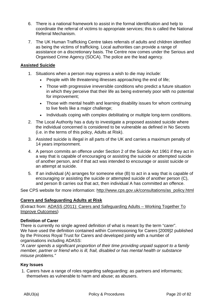- 6. There is a national framework to assist in the formal identification and help to coordinate the referral of victims to appropriate services; this is called the National Referral Mechanism.
- 7. The UK Human Trafficking Centre takes referrals of adults and children identified as being the victims of trafficking. Local authorities can provide a range of assistance on a discretionary basis. The Centre now comes under the Serious and Organised Crime Agency (SOCA). The police are the lead agency.

# **Assisted Suicide**

- 1. Situations when a person may express a wish to die may include:
	- People with life threatening illnesses approaching the end of life;
	- Those with progressive irreversible conditions who predict a future situation in which they perceive that their life as being extremely poor with no potential for improvement;
	- Those with mental health and learning disability issues for whom continuing to live feels like a major challenge;
	- Individuals coping with complex debilitating or multiple long-term conditions.
- 2. The Local Authority has a duty to investigate a proposed assisted suicide where the individual concerned is considered to be vulnerable as defined in No Secrets (i.e. in the terms of this policy, Adults at Risk).
- 3. Assisted suicide is illegal in all parts of the UK and carries a maximum penalty of 14 years imprisonment.
- 4. A person commits an offence under Section 2 of the Suicide Act 1961 if they act in a way that is capable of encouraging or assisting the suicide or attempted suicide of another person, and if that act was intended to encourage or assist suicide or an attempt at suicide.
- 5. If an individual (A) arranges for someone else (B) to act in a way that is capable of encouraging or assisting the suicide or attempted suicide of another person (C), and person B carries out that act, then individual A has committed an offence.

See CPS website for more information: http://www.cps.gov.uk/consultations/as\_policy.html

# **Carers and Safeguarding Adults at Risk**

(Extract from: ADASS (2011): Carers and Safeguarding Adults – Working Together To Improve Outcomes)

# **Definition of Carer**

There is currently no single agreed definition of what is meant by the term "carer". We have used the definition contained within Commissioning for Carers [2009]2 published by the Princess Royal Trust for Carers and developed jointly with a number of organisations including ADASS:

*"A carer spends a significant proportion of their time providing unpaid support to a family member, partner or friend who is ill, frail, disabled or has mental health or substance misuse problems."* 

# **Key Issues**

1. Carers have a range of roles regarding safeguarding: as partners and informants; themselves as vulnerable to harm and abuse; as abusers.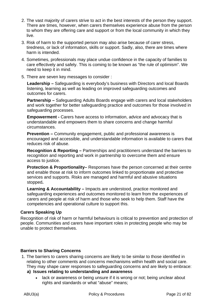- 2. The vast majority of carers strive to act in the best interests of the person they support. There are times, however, when carers themselves experience abuse from the person to whom they are offering care and support or from the local community in which they live.
- 3. Risk of harm to the supported person may also arise because of carer stress, tiredness, or lack of information, skills or support. Sadly, also, there are times where harm is intended.
- 4. Sometimes, professionals may place undue confidence in the capacity of families to care effectively and safely. This is coming to be known as "the rule of optimism". We need to keep it in mind.
- 5. There are seven key messages to consider :

**Leadership –** Safeguarding is everybody's business with Directors and local Boards listening, learning as well as leading on improved safeguarding outcomes and outcomes for carers.

**Partnership –** Safeguarding Adults Boards engage with carers and local stakeholders and work together for better safeguarding practice and outcomes for those involved in safeguarding processes.

**Empowerment - Carers have access to information, advice and advocacy that is** understandable and empowers them to share concerns and change harmful circumstances.

**Prevention –** Community engagement, public and professional awareness is encouraged and accessible, and understandable information is available to carers that reduces risk of abuse.

**Recognition & Reporting –** Partnerships and practitioners understand the barriers to recognition and reporting and work in partnership to overcome them and ensure access to justice.

**Protection & Proportionality–** Responses have the person concerned at their centre and enable those at risk to inform outcomes linked to proportionate and protective services and supports. Risks are managed and harmful and abusive situations stopped**.**

**Learning & Accountability – Impacts are understood, practice monitored and** safeguarding experiences and outcomes monitored to learn from the experiences of carers and people at risk of harm and those who seek to help them. Staff have the competencies and operational culture to support this.

# **Carers Speaking Up**

Recognition of risk of harm or harmful behaviours is critical to prevention and protection of people. Communities and carers have important roles in protecting people who may be unable to protect themselves.

# **Barriers to Sharing Concerns**

1. The barriers to carers sharing concerns are likely to be similar to those identified in relating to other comments and concerns mechanisms within health and social care. They may shape carer responses to safeguarding concerns and are likely to embrace:

# **a) Issues relating to understanding and awareness**

• lack or awareness or being unsure if it is wrong or not; being unclear about rights and standards or what "abuse" means;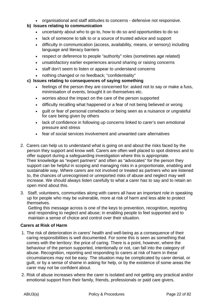• organisational and staff attitudes to concerns - defensive not responsive.

# **b) Issues relating to communication**

- uncertainty about who to go to, how to do so and opportunities to do so
- lack of someone to talk to or a source of trusted advice and support
- difficulty in communication (access, availability, means, or sensory) including language and literacy barriers
- respect or deference to people "authority" roles (sometimes age related)
- unsatisfactory earlier experiences around sharing or raising concerns
- staff don't seem to listen or appear to understand concerns
- nothing changed or no feedback; "confidentiality"
- **c) Issues relating to consequences of saying something** 
	- feelings of the person they are concerned for: asked not to say or make a fuss, minimisation of events, brought it on themselves etc.
	- worries about the impact on the care of the person supported
	- difficulty recalling what happened or a fear of not being believed or wrong
	- guilt or fear of personal comebacks or being seen as a nuisance or ungrateful for care being given by others
	- lack of confidence in following up concerns linked to carer's own emotional pressure and stress
	- fear of social services involvement and unwanted care alternatives
- 2. Carers can help us to understand what is going on and about the risks faced by the person they support and know well. Carers are often well placed to spot distress and to offer support during a safeguarding investigation where this is appropriate. Their knowledge as "expert partners" and often as "advocates" for the person they support can be helpful in scoping and managing risks in a proportionate, enabling and sustainable way. Where carers are not involved or treated as partners who are listened to, the chances of unrecognised or unreported risks of abuse and neglect may well increase. We should always listen carefully to what a carer has to say and to retain an open mind about this.
- 3. Staff, volunteers, communities along with carers all have an important role in speaking up for people who may be vulnerable, more at risk of harm and less able to protect themselves.

 Getting this message across is one of the keys to prevention, recognition, reporting and responding to neglect and abuse; in enabling people to feel supported and to maintain a sense of choice and control over their situation.

# **Carers at Risk of Harm**

- 1. The risk of deterioration in carers' health and well-being as a consequence of their caring responsibilities is well documented. For some this is seen as something that comes with the territory: the price of caring. There is a point, however, where the behaviour of the person supported, intentionally or not, can fall into the category of abuse. Recognition, reporting and responding to carers at risk of harm in these circumstances may not be easy. The situation may be complicated by carer denial, or guilt, or by a sense of shame in asking for help, or by the existence of some areas the carer may not be confident about.
- 2. Risk of abuse increases where the carer is isolated and not getting any practical and/or emotional support from their family, friends, professionals or paid care givers.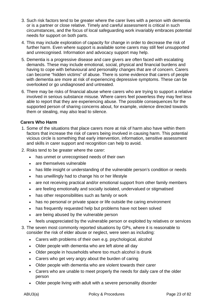- 3. Such risk factors tend to be greater where the carer lives with a person with dementia or is a partner or close relative. Timely and careful assessment is critical in such circumstances, and the focus of local safeguarding work invariably embraces potential needs for support on both parts.
- 4. This may include exploration of capacity for change in order to decrease the risk of further harm. Even where support is available some carers may still feel unsupported and unrecognised. Information and advocacy support may help.
- 5. Dementia is a progressive disease and care givers are often faced with escalating demands. These may include emotional, social, physical and financial burdens and having to cope with behavioural and personality changes that are of concern. Carers can become "hidden victims" of abuse. There is some evidence that carers of people with dementia are more at risk of experiencing depressive symptoms. These can be overlooked or go undiagnosed and untreated.
- 6. There may be risks of financial abuse where carers who are trying to support a relative involved in serious substance misuse. Where carers feel powerless they may feel less able to report that they are experiencing abuse. The possible consequences for the supported person of sharing concerns about, for example, violence directed towards them or stealing, may also lead to silence.

# **Carers Who Harm**

- 1. Some of the situations that place carers more at risk of harm also have within them factors that increase the risk of carers being involved in causing harm. This potential vicious circle is something that early intervention, information, sensitive assessment and skills in carer support and recognition can help to avoid.
- 2. Risks tend to be greater where the carer:
	- has unmet or unrecognised needs of their own
	- are themselves vulnerable
	- has little insight or understanding of the vulnerable person's condition or needs
	- has unwillingly had to change his or her lifestyle
	- are not receiving practical and/or emotional support from other family members
	- are feeling emotionally and socially isolated, undervalued or stigmatised
	- has other responsibilities such as family or work
	- has no personal or private space or life outside the caring environment
	- has frequently requested help but problems have not been solved
	- are being abused by the vulnerable person
	- feels unappreciated by the vulnerable person or exploited by relatives or services
- 3. The seven most commonly reported situations by GPs, where it is reasonable to consider the risk of elder abuse or neglect, were seen as including:
	- Carers with problems of their own e.g. psychological, alcohol
	- Older people with dementia who are left alone all day
	- Older people in households where too much alcohol is drunk
	- Carers who get very angry about the burden of caring
	- Older people with dementia who are violent towards their carer
	- Carers who are unable to meet properly the needs for daily care of the older person
	- Older people living with adult with a severe personality disorder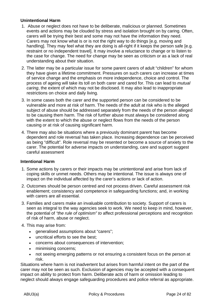# **Unintentional Harm**

- 1. Abuse or neglect does not have to be deliberate, malicious or planned. Sometimes events and actions may be clouded by stress and isolation brought on by caring. Often, carers will be trying their best and some may not have the information they need. Carers may not know what is or is not the right way to do things [e.g. moving and handling]. They may feel what they are doing is all-right if it keeps the person safe [e.g. restraint or no independent travel]. It may involve a reluctance to change or to listen to the case for change. The need for change may be seen as criticism or as a lack of real understanding about their situation.
- 2. The latter may be a particular issue for some parent carers of adult "children" for whom they have given a lifetime commitment. Pressures on such carers can increase at times of service change and the emphasis on more independence, choice and control. The process of ageing will take its toll on both carer and cared for. This can lead to *mutual caring*, the extent of which may not be disclosed. It may also lead to inappropriate restrictions on choice and daily living.
- 3. In some cases both the carer and the supported person can be considered to be vulnerable and more at risk of harm. The needs of the adult at risk who is the alleged subject of abuse should be addressed separately from the needs of the person alleged to be causing them harm. The risk of further abuse must always be considered along with the extent to which the abuse or neglect flows from the needs of the person causing or at risk of causing significant harm.
- 4. There may also be situations where a previously dominant parent has become dependent and role reversal has taken place. Increasing dependence can be perceived as being "difficult". Role reversal may be resented or become a source of anxiety to the carer. The potential for adverse impacts on understanding, care and support suggest careful assessment

# **Intentional Harm**

- 1. Some actions by carers or their impacts may be unintentional and arise from lack of coping skills or unmet needs. Others may be intentional. The issue is always one of impact on the individual affected by the carer's actions or lack of action.
- 2. Outcomes should be person centred and not process driven. Careful assessment risk enablement; consistency and competence in safeguarding functions; and, in working with carers are all essential.
- 3. Families and carers make an invaluable contribution to society. Support of carers is seen as integral to the way agencies seek to work. We need to keep in mind, however, the potential of *"the rule of optimism" to* affect professional perceptions and recognition of risk of harm, abuse or neglect.
- 4. This may arise from:
	- generalised assumptions about "carers";
	- uncritical efforts to see the best;
	- concerns about consequences of intervention;
	- minimising concerns;
	- not seeing emerging patterns or not ensuring a consistent focus on the person at risk.

Situations where harm is not inadvertent but arises from harmful intent on the part of the carer may not be seen as such. Exclusion of agencies may be accepted with a consequent impact on ability to protect from harm. Deliberate acts of harm or omission leading to neglect should always engage safeguarding procedures and police referral as appropriate.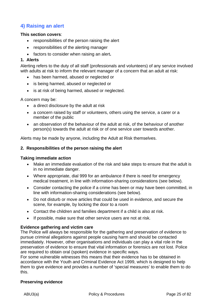# **4) Raising an alert**

# **This section covers**:

- responsibilities of the person raising the alert
- responsibilities of the alerting manager
- factors to consider when raising an alert**.**

# **1. Alerts**

Alerting refers to the duty of all staff (professionals and volunteers) of any service involved with adults at risk to inform the relevant manager of a concern that an adult at risk:

- has been harmed, abused or neglected or
- is being harmed, abused or neglected or
- is at risk of being harmed, abused or neglected.

A concern may be:

- a direct disclosure by the adult at risk
- a concern raised by staff or volunteers, others using the service, a carer or a member of the public
- an observation of the behaviour of the adult at risk, of the behaviour of another person(s) towards the adult at risk or of one service user towards another.

Alerts may be made by anyone, including the Adult at Risk themselves.

#### **2. Responsibilities of the person raising the alert**

#### **Taking immediate action**

- Make an immediate evaluation of the risk and take steps to ensure that the adult is in no immediate danger.
- Where appropriate, dial 999 for an ambulance if there is need for emergency medical treatment, in line with information-sharing considerations (see below).
- Consider contacting the police if a crime has been or may have been committed, in line with information-sharing considerations (see below).
- Do not disturb or move articles that could be used in evidence, and secure the scene, for example, by locking the door to a room
- Contact the children and families department if a child is also at risk.
- If possible, make sure that other service users are not at risk.

# **Evidence gathering and victim care**

The Police will always be responsible for the gathering and preservation of evidence to pursue criminal allegations against people causing harm and should be contacted immediately. However, other organisations and individuals can play a vital role in the preservation of evidence to ensure that vital information or forensics are not lost. Police are required to obtain oral (spoken) evidence in specific ways.

For some vulnerable witnesses this means that their evidence has to be obtained in accordance with the Youth and Criminal Evidence Act 1999, which is designed to help them to give evidence and provides a number of 'special measures' to enable them to do this.

#### **Preserving evidence**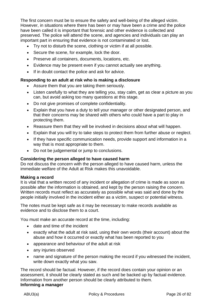The first concern must be to ensure the safety and well-being of the alleged victim. However, in situations where there has been or may have been a crime and the police have been called it is important that forensic and other evidence is collected and preserved. The police will attend the scene, and agencies and individuals can play an important part in ensuring that evidence is not contaminated or lost.

- Try not to disturb the scene, clothing or victim if at all possible.
- Secure the scene, for example, lock the door.
- Preserve all containers, documents, locations, etc.
- Evidence may be present even if you cannot actually see anything.
- If in doubt contact the police and ask for advice.

# **Responding to an adult at risk who is making a disclosure**

- Assure them that you are taking them seriously.
- Listen carefully to what they are telling you, stay calm, get as clear a picture as you can, but avoid asking too many questions at this stage.
- Do not give promises of complete confidentiality.
- Explain that you have a duty to tell your manager or other designated person, and that their concerns may be shared with others who could have a part to play in protecting them.
- Reassure them that they will be involved in decisions about what will happen.
- Explain that you will try to take steps to protect them from further abuse or neglect.
- If they have specific communication needs, provide support and information in a way that is most appropriate to them.
- Do not be judgemental or jump to conclusions.

# **Considering the person alleged to have caused harm**

Do not discuss the concern with the person alleged to have caused harm, unless the immediate welfare of the Adult at Risk makes this unavoidable.

# **Making a record**

It is vital that a written record of any incident or allegation of crime is made as soon as possible after the information is obtained, and kept by the person raising the concern. Written records must reflect as accurately as possible what was said and done by the people initially involved in the incident either as a victim, suspect or potential witness.

The notes must be kept safe as it may be necessary to make records available as evidence and to disclose them to a court.

You must make an accurate record at the time, including:

- date and time of the incident
- exactly what the adult at risk said, using their own words (their account) about the abuse and how it occurred or exactly what has been reported to you
- appearance and behaviour of the adult at risk
- any injuries observed
- name and signature of the person making the record if you witnessed the incident, write down exactly what you saw.

The record should be factual. However, if the record does contain your opinion or an assessment, it should be clearly stated as such and be backed up by factual evidence. Information from another person should be clearly attributed to them. **Informing a manager**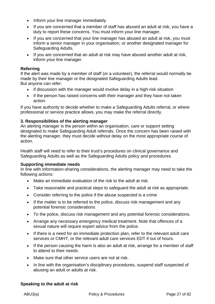- Inform your line manager immediately.
- If you are concerned that a member of staff has abused an adult at risk, you have a duty to report these concerns. You must inform your line manager.
- If you are concerned that your line manager has abused an adult at risk, you must inform a senior manager in your organisation, or another designated manager for Safeguarding Adults.
- If you are concerned that an adult at risk may have abused another adult at risk, inform your line manager.

# **Referring**

If the alert was made by a member of staff (or a volunteer), the referral would normally be made by their line manager or the designated Safeguarding Adults lead. But anyone can refer:

- if discussion with the manager would involve delay in a high-risk situation
- if the person has raised concerns with their manager and they have not taken action.

If you have authority to decide whether to make a Safeguarding Adults referral, or where professional or service practice allows, you may make the referral directly.

# **3. Responsibilities of the alerting manager**

An alerting manager is the person within an organisation, care or support setting designated to make Safeguarding Adult referrals. Once the concern has been raised with the alerting manager, they must decide without delay on the most appropriate course of action.

Health staff will need to refer to their trust's procedures on clinical governance and Safeguarding Adults as well as the Safeguarding Adults policy and procedures.

# **Supporting immediate needs**

In line with information-sharing considerations, the alerting manager may need to take the following actions:

- Make an immediate evaluation of the risk to the adult at risk.
- Take reasonable and practical steps to safeguard the adult at risk as appropriate.
- Consider referring to the police if the abuse suspected is a crime
- If the matter is to be referred to the police, discuss risk management and any potential forensic considerations
- To the police, discuss risk management and any potential forensic considerations.
- Arrange any necessary emergency medical treatment. Note that offences of a sexual nature will require expert advice from the police.
- If there is a need for an immediate protection plan, refer to the relevant adult care services or CMHT, or the relevant adult care services EDT if out of hours.
- If the person causing the harm is also an adult at risk, arrange for a member of staff to attend to their needs.
- Make sure that other service users are not at risk.
- In line with the organisation's disciplinary procedures, suspend staff suspected of abusing an adult or adults at risk.

# **Speaking to the adult at risk**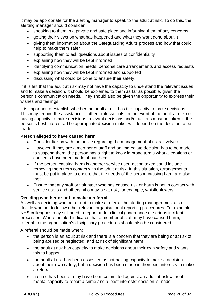It may be appropriate for the alerting manager to speak to the adult at risk. To do this, the alerting manager should consider:

- speaking to them in a private and safe place and informing them of any concerns
- getting their views on what has happened and what they want done about it
- giving them information about the Safeguarding Adults process and how that could help to make them safer
- supporting them to ask questions about issues of confidentiality
- explaining how they will be kept informed
- identifying communication needs, personal care arrangements and access requests
- explaining how they will be kept informed and supported
- discussing what could be done to ensure their safety.

If it is felt that the adult at risk may not have the capacity to understand the relevant issues and to make a decision, it should be explained to them as far as possible, given the person's communication needs. They should also be given the opportunity to express their wishes and feelings.

It is important to establish whether the adult at risk has the capacity to make decisions. This may require the assistance of other professionals. In the event of the adult at risk not having capacity to make decisions, relevant decisions and/or actions must be taken in the person's best interests. The appropriate decision maker will depend on the decision to be made.

# **Person alleged to have caused harm**

- Consider liaison with the police regarding the management of risks involved.
- However, if they are a member of staff and an immediate decision has to be made to suspend them, the person has a right to know in broad terms what allegations or concerns have been made about them.
- If the person causing harm is another service user, action taken could include removing them from contact with the adult at risk. In this situation, arrangements must be put in place to ensure that the needs of the person causing harm are also met.
- Ensure that any staff or volunteer who has caused risk or harm is not in contact with service users and others who may be at risk, for example, whistleblowers.

# **Deciding whether or not to make a referral**

As well as deciding whether or not to make a referral the alerting manager must also decide whether to follow other relevant organisational reporting procedures. For example, NHS colleagues may still need to report under clinical governance or serious incident processes. Where an alert indicates that a member of staff may have caused harm, referral to the organisation's disciplinary procedures should also be considered.

A referral should be made when:

- the person is an adult at risk and there is a concern that they are being or at risk of being abused or neglected, and at risk of significant harm
- the adult at risk has capacity to make decisions about their own safety and wants this to happen
- the adult at risk has been assessed as not having capacity to make a decision about their own safety, but a decision has been made in their best interests to make a referral
- a crime has been or may have been committed against an adult at risk without mental capacity to report a crime and a 'best interests' decision is made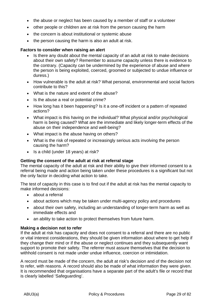- the abuse or neglect has been caused by a member of staff or a volunteer
- other people or children are at risk from the person causing the harm
- the concern is about institutional or systemic abuse
- the person causing the harm is also an adult at risk.

# **Factors to consider when raising an alert**

- Is there any doubt about the mental capacity of an adult at risk to make decisions about their own safety? Remember to assume capacity unless there is evidence to the contrary. (Capacity can be undermined by the experience of abuse and where the person is being exploited, coerced, groomed or subjected to undue influence or duress.)
- How vulnerable is the adult at risk? What personal, environmental and social factors contribute to this?
- What is the nature and extent of the abuse?
- Is the abuse a real or potential crime?
- How long has it been happening? Is it a one-off incident or a pattern of repeated actions?
- What impact is this having on the individual? What physical and/or psychological harm is being caused? What are the immediate and likely longer-term effects of the abuse on their independence and well-being?
- What impact is the abuse having on others?
- What is the risk of repeated or increasingly serious acts involving the person causing the harm?
- Is a child (under 18 years) at risk?

# **Getting the consent of the adult at risk at referral stage**

The mental capacity of the adult at risk and their ability to give their informed consent to a referral being made and action being taken under these procedures is a significant but not the only factor in deciding what action to take.

The test of capacity in this case is to find out if the adult at risk has the mental capacity to make informed decisions:

- about a referral
- about actions which may be taken under multi-agency policy and procedures
- about their own safety, including an understanding of longer-term harm as well as immediate effects and
- an ability to take action to protect themselves from future harm.

# **Making a decision not to refer**

If the adult at risk has capacity and does not consent to a referral and there are no public or vital interest considerations, they should be given information about where to get help if they change their mind or if the abuse or neglect continues and they subsequently want support to promote their safety. The referrer must assure themselves that the decision to withhold consent is not made under undue influence, coercion or intimidation.

A record must be made of the concern, the adult at risk's decision and of the decision not to refer, with reasons. A record should also be made of what information they were given. It is recommended that organisations have a separate part of the adult's file or record that is clearly labelled 'Safeguarding'.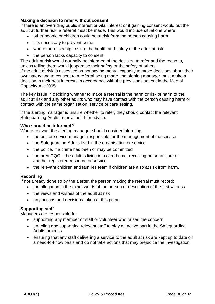# **Making a decision to refer without consent**

If there is an overriding public interest or vital interest or if gaining consent would put the adult at further risk, a referral must be made. This would include situations where:

- other people or children could be at risk from the person causing harm
- it is necessary to prevent crime
- where there is a high risk to the health and safety of the adult at risk
- the person lacks capacity to consent.

The adult at risk would normally be informed of the decision to refer and the reasons, unless telling them would jeopardise their safety or the safety of others.

If the adult at risk is assessed as not having mental capacity to make decisions about their own safety and to consent to a referral being made, the alerting manager must make a decision in their best interests in accordance with the provisions set out in the Mental Capacity Act 2005.

The key issue in deciding whether to make a referral is the harm or risk of harm to the adult at risk and any other adults who may have contact with the person causing harm or contact with the same organisation, service or care setting.

If the alerting manager is unsure whether to refer, they should contact the relevant Safeguarding Adults referral point for advice.

# **Who should be informed?**

Where relevant the alerting manager should consider informing:

- the unit or service manager responsible for the management of the service
- the Safeguarding Adults lead in the organisation or service
- the police, if a crime has been or may be committed
- the area CQC if the adult is living in a care home, receiving personal care or another registered resource or service
- the relevant children and families team if children are also at risk from harm.

# **Recording**

If not already done so by the alerter, the person making the referral must record:

- the allegation in the exact words of the person or description of the first witness
- the views and wishes of the adult at risk
- any actions and decisions taken at this point.

# **Supporting staff**

Managers are responsible for:

- supporting any member of staff or volunteer who raised the concern
- enabling and supporting relevant staff to play an active part in the Safeguarding Adults process
- ensuring that any staff delivering a service to the adult at risk are kept up to date on a need-to-know basis and do not take actions that may prejudice the investigation.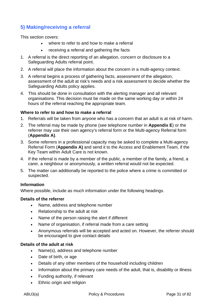# **5) Making/receiving a referral**

This section covers:

- where to refer to and how to make a referral
- receiving a referral and gathering the facts
- 1. A referral is the direct reporting of an allegation, concern or disclosure to a Safeguarding Adults referral point.
- 2. A referral will place the information about the concern in a multi-agency context.
- 3. A referral begins a process of gathering facts, assessment of the allegation, assessment of the adult at risk's needs and a risk assessment to decide whether the Safeguarding Adults policy applies.
- 4. This should be done in consultation with the alerting manager and all relevant organisations. This decision must be made on the same working day or within 24 hours of the referral reaching the appropriate team.

# **Where to refer to and how to make a referral**

- 1. Referrals will be taken from *anyone* who has a concern that an adult is at risk of harm.
- 2. The referral may be made by phone (see telephone number in **Appendix E**) or the referrer may use their own agency's referral form or the Multi-agency Referral form (**Appendix A)**.
- 3. Some referrers in a professional capacity may be asked to complete a Multi-agency Referral Form (**Appendix A)** and send it to the Access and Enablement Team, if the Key Team within Adult Care is not known.
- 4. If the referral is made by a member of the public, a member of the family, a friend, a carer, a neighbour or anonymously, a written referral would not be expected.
- 5. The matter can additionally be reported to the police where a crime is committed or suspected.

# **Information**

Where possible, include as much information under the following headings.

# **Details of the referrer**

- Name, address and telephone number
- Relationship to the adult at risk
- Name of the person raising the alert if different
- Name of organisation, if referral made from a care setting
- Anonymous referrals will be accepted and acted on. However, the referrer should be encouraged to give contact details

# **Details of the adult at risk**

- Name(s), address and telephone number
- Date of birth, or age
- Details of any other members of the household including children
- Information about the primary care needs of the adult, that is, disability or illness
- Funding authority, if relevant
- Ethnic origin and religion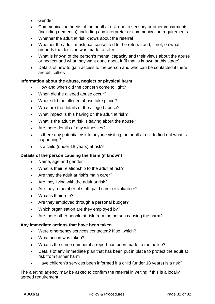- Gender
- Communication needs of the adult at risk due to sensory or other impairments (including dementia), including any interpreter or communication requirements
- Whether the adult at risk knows about the referral
- Whether the adult at risk has consented to the referral and, if not, on what grounds the decision was made to refer
- What is known of the person's mental capacity and their views about the abuse or neglect and what they want done about it (if that is known at this stage)
- Details of how to gain access to the person and who can be contacted if there are difficulties

# **Information about the abuse, neglect or physical harm**

- How and when did the concern come to light?
- When did the alleged abuse occur?
- Where did the alleged abuse take place?
- What are the details of the alleged abuse?
- What impact is this having on the adult at risk?
- What is the adult at risk is saying about the abuse?
- Are there details of any witnesses?
- Is there any potential risk to anyone visiting the adult at risk to find out what is happening?
- Is a child (under 18 years) at risk?

# **Details of the person causing the harm (if known)**

- Name, age and gender
- What is their relationship to the adult at risk?
- Are they the adult at risk's main carer?
- Are they living with the adult at risk?
- Are they a member of staff, paid carer or volunteer?
- What is their role?
- Are they employed through a personal budget?
- Which organisation are they employed by?
- Are there other people at risk from the person causing the harm?

# **Any immediate actions that have been taken**

- Were emergency services contacted? If so, which?
- What action was taken?
- What is the crime number if a report has been made to the police?
- Details of any immediate plan that has been put in place to protect the adult at risk from further harm
- Have children's services been informed if a child (under 18 years) is a risk?

The alerting agency may be asked to confirm the referral in writing if this is a locally agreed requirement.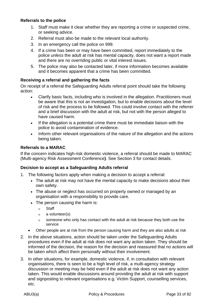# **Referrals to the police**

- 1. Staff must make it clear whether they are reporting a crime or suspected crime, or seeking advice.
- 2. Referral must also be made to the relevant local authority.
- 3. In an emergency call the police on 999.
- 4. If a crime has been or may have been committed, report immediately to the police *unless* the adult at risk has mental capacity, does not want a report made and there are no overriding public or vital interest issues.
- 5. The police may also be contacted later, if more information becomes available and it becomes apparent that a crime has been committed.

# **Receiving a referral and gathering the facts**

On receipt of a referral the Safeguarding Adults referral point should take the following action:

- Clarify basic facts, including who is involved in the allegation. Practitioners must be aware that this is not an investigation, but to enable decisions about the level of risk and the process to be followed. This could involve contact with the referrer and a brief discussion with the adult at risk, but not with the person alleged to have caused harm.
- If the allegation is a potential crime there must be immediate liaison with the police to avoid contamination of evidence.
- Inform other relevant organisations of the nature of the allegation and the actions being taken.

# **Referrals to a MARAC**

If the concern indicates high-risk domestic violence, a referral should be made to MARAC (Multi-agency Risk Assessment Conference**)**. See Section 3 for contact details.

# **Decision to accept as a Safeguarding Adults referral**

- 1. The following factors apply when making a decision to accept a referral:
	- The adult at risk may not have the mental capacity to make decisions about their own safety.
	- The abuse or neglect has occurred on property owned or managed by an organisation with a responsibility to provide care.
	- The person causing the harm is:
		- ο Staff
		- ο a volunteer(s)
		- ο someone who only has contact with the adult at risk because they both use the service
	- Other people are at risk from the person causing harm and they are also adults at risk
- 2. In the above situations, action should be taken under the Safeguarding Adults procedures even if the adult at risk does not want any action taken. They should be informed of the decision, the reason for the decision and reassured that no actions will be taken which affect them personally without their involvement.
- 3. In other situations, for example, domestic violence, if, in consultation with relevant organisations, there is seen to be a high level of risk, a multi-agency strategy discussion or meeting may be held even if the adult at risk does not want any action taken. This would enable discussions around providing the adult at risk with support and signposting to relevant organisations e.g. Victim Support, counselling services, etc.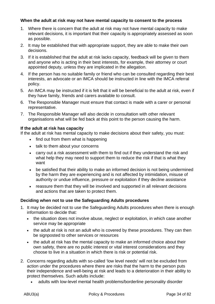# **When the adult at risk may not have mental capacity to consent to the process**

- 1. Where there is concern that the adult at risk may not have mental capacity to make relevant decisions, it is important that their capacity is appropriately assessed as soon as possible.
- 2. It may be established that with appropriate support, they are able to make their own decisions.
- 3. If it is established that the adult at risk lacks capacity, feedback will be given to them and anyone who is acting in their best interests, for example, their attorney or court appointed deputy, unless they are implicated in the allegation.
- 4. If the person has no suitable family or friend who can be consulted regarding their best interests, an advocate or an IMCA should be instructed in line with the IMCA referral policy.
- 5. An IMCA may be instructed if it is felt that it will be beneficial to the adult at risk, even if they have family, friends and carers available to consult.
- 6. The Responsible Manager must ensure that contact is made with a carer or personal representative.
- 7. The Responsible Manager will also decide in consultation with other relevant organisations what will be fed back at this point to the person causing the harm.

# **If the adult at risk has capacity**

If the adult at risk has mental capacity to make decisions about their safety, you must:

- find out from them what is happening
- talk to them about your concerns
- carry out a risk assessment with them to find out if they understand the risk and what help they may need to support them to reduce the risk if that is what they want
- be satisfied that their ability to make an informed decision is not being undermined by the harm they are experiencing and is not affected by intimidation, misuse of authority or undue influence, pressure or exploitation if they decline assistance
- reassure them that they will be involved and supported in all relevant decisions and actions that are taken to protect them.

# **Deciding when not to use the Safeguarding Adults procedures**

- 1. It may be decided not to use the Safeguarding Adults procedures when there is enough information to decide that:
	- the situation does not involve abuse, neglect or exploitation, in which case another service may be appropriate
	- the adult at risk is not an adult who is covered by these procedures. They can then be signposted to other services or resources
	- the adult at risk has the mental capacity to make an informed choice about their own safety, there are no public interest or vital interest considerations and they choose to live in a situation in which there is risk or potential risk.
- 2. Concerns regarding adults with so-called 'low level needs' will not be excluded from action under the procedures where there are risks that the harm to the person puts their independence and well-being at risk and leads to a deterioration in their ability to protect themselves. Such adults include:
	- adults with low-level mental health problems/borderline personality disorder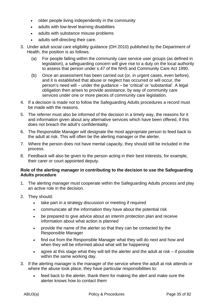- older people living independently in the community
- adults with low-level learning disabilities
- adults with substance misuse problems
- adults self-directing their care.
- 3. Under adult social care eligibility guidance (DH 2010) published by the Department of Health, the position is as follows.
	- (a) For people falling within the community care service user groups (as defined in legislation), a safeguarding concern will give rise to a duty on the local authority to assess that person under s.47 of the NHS and Community Care Act 1990.
	- (b) Once an assessment has been carried out (or, in urgent cases, even before), and it is established that abuse or neglect has occurred or will occur, the person's need will – under the guidance – be 'critical' or 'substantial'. A legal obligation then arises to provide assistance, by way of community care services under one or more pieces of community care legislation.
- 4. If a decision is made not to follow the Safeguarding Adults procedures a record must be made with the reasons.
- 5. The referrer must also be informed of the decision in a timely way, the reasons for it and information given about any alternative services which have been offered, if this does not breach the adult's confidentiality.
- 6. The Responsible Manager will designate the most appropriate person to feed back to the adult at risk. This will often be the alerting manager or the alerter.
- 7. Where the person does not have mental capacity, they should still be included in the process.
- 8. Feedback will also be given to the person acting in their best interests, for example, their carer or court appointed deputy.

# **Role of the alerting manager in contributing to the decision to use the Safeguarding Adults procedure**

- 1. The alerting manager must cooperate within the Safeguarding Adults process and play an active role in the decision.
- 2. They should:
	- take part in a strategy discussion or meeting if required
	- communicate all the information they have about the potential risk
	- be prepared to give advice about an interim protection plan and receive information about what action is planned
	- provide the name of the alerter so that they can be contacted by the Responsible Manager
	- find out from the Responsible Manager what they will do next and how and when they will be informed about what will be happening
	- agree at this stage what they will tell the alerter and the adult at risk if possible within the same working day.
- 3. If the alerting manager is the manager of the service where the adult at risk attends or where the abuse took place, they have particular responsibilities to:
	- feed back to the alerter, thank them for making the alert and make sure the alerter knows how to contact them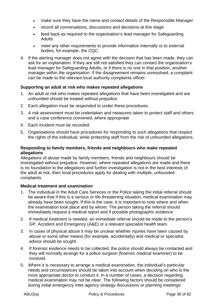- make sure they have the name and contact details of the Responsible Manager
- record all conversations, discussions and decisions at this stage
- feed back as required to the organisation's lead manager for Safeguarding Adults
- meet any other requirements to provide information internally or to external bodies, for example, the CQC.
- 4. If the alerting manager does not agree with the decision that has been made, they can ask for an explanation. If they are still not satisfied they can contact the organisation's lead manager for Safeguarding Adults, or if there is no one in that position, another manager within the organisation. If the disagreement remains unresolved, a complaint can be made to the relevant local authority complaints officer.

### **Supporting an adult at risk who makes repeated allegations**

- 1. An adult at risk who makes repeated allegations that have been investigated and are unfounded should be treated *without prejudice*.
- 2. Each allegation must be responded to under these procedures.
- 3. A risk assessment must be undertaken and measures taken to protect staff and others and a case conference convened, where appropriate
- 4. Each incident must be recorded.
- 5. Organisations should have procedures for responding to such allegations that respect the rights of the individual, while protecting staff from the risk of unfounded allegations.

#### **Responding to family members, friends and neighbours who make repeated allegations**

Allegations of abuse made by family members, friends and neighbours should be investigated without prejudice. However, where repeated allegations are made and there is no foundation to the allegations and further investigation is not in the best interests of the adult at risk, then local procedures apply for dealing with multiple, unfounded complaints.

#### **Medical treatment and examination**

- 1. The individual in the Adult Care Services or the Police taking the initial referral should be aware that if this is a serious or life threatening situation, medical examination may already have been sought. If this is the case, it is important to note where and when the examination took place and by whom. The person taking the referral should immediately request a medical report and if possible photographic evidence.
- 2. If medical treatment is needed, an immediate referral should be made to the person's GP, Accident and Emergency (A&E) or a relevant specialist health team.
- 3. In cases of physical abuse it may be unclear whether injuries have been caused by abuse or some other means (for example, accidentally) and medical or specialist advice should be sought.
- 4. If forensic evidence needs to be collected, the police should always be contacted and they will normally arrange for a police surgeon (forensic medical examiner) to be involved.
- 5. Where it is necessary to arrange a medical examination, the individual's particular needs and circumstances should be taken into account when deciding on who is the most appropriate doctor to conduct it. In a number of cases, a decision regarding medical examination may not be clear. The following factors should be considered during initial emergency inter-agency strategy discussions or planning meetings: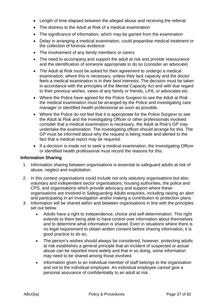- Length of time elapsed between the alleged abuse and receiving the referral
- The distress to the Adult at Risk of a medical examination
- The significance of information, which may be gained from the examination
- Delay in arranging a medical examination, could jeopardise medical treatment or the collection of forensic evidence
- The involvement of any family members or carers
- The need to accompany and support the adult at risk and provide reassurance and the identification of someone appropriate to do so (consider an advocate)
- The Adult at Risk must be asked for their agreement to undergo a medical examination, where this is necessary, unless they lack capacity and the doctor feels a medical examination is in their best interests. The decision must be taken in accordance with the principles of the Mental Capacity Act and with due regard to their previous wishes, views of any family or friends, LPA, or advocates etc.
- Where the Police have agreed for the Police Surgeon to see the Adult at Risk the medical examination must be arranged by the Police and investigating care manager or identified health professional as soon as possible.
- Where the Police do not feel that it is appropriate for the Police Surgeon to see the Adult at Risk and the Investigating Officer or other professionals involved consider that a medical examination is necessary, the Adult at Risk's GP may undertake the examination. The investigating officer should arrange for this. The GP must be informed about why the request is being made and alerted to the fact that a medical report may be required.
- If a decision is made not to seek a medical examination, the Investigating Officer or identified health professional must record the reasons for this.

#### **Information Sharing**

- 1. Information sharing between organisations is essential to safeguard adults at risk of abuse, neglect and exploitation.
- 2. In this context organisations could include not only statutory organisations but also voluntary and independent sector organisations, housing authorities, the police and CPS, and organisations which provide advocacy and support where these organisations are involved in Safeguarding Adults enquiries, including raising an alert and participating in an investigation and/or making a contribution to protection plans.
- 3. Information will be shared within and between organisations in line with the principles set out below.
	- Adults have a right to independence, choice and self-determination. This right extends to them being able to have control over information about themselves and to determine what information is shared. Even in situations where there is no legal requirement to obtain written consent before sharing information, it is good practice to do so.
	- The person's wishes should always be considered, however, protecting adults at risk establishes a general principle that an incident of suspected or actual abuse can be reported more widely and that in so doing, some information may need to be shared among those involved.
	- Information given to an individual member of staff belongs to the organisation and not to the individual employee. An individual employee cannot give a personal assurance of confidentiality to an adult at risk.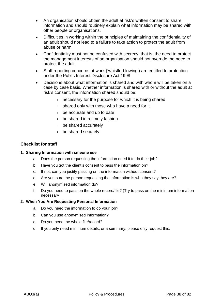- An organisation should obtain the adult at risk's written consent to share information and should routinely explain what information may be shared with other people or organisations.
- Difficulties in working within the principles of maintaining the confidentiality of an adult should not lead to a failure to take action to protect the adult from abuse or harm.
- Confidentiality must not be confused with secrecy, that is, the need to protect the management interests of an organisation should not override the need to protect the adult.
- Staff reporting concerns at work ('whistle-blowing') are entitled to protection under the Public Interest Disclosure Act 1998
- Decisions about what information is shared and with whom will be taken on a case by case basis. Whether information is shared with or without the adult at risk's consent, the information shared should be:
	- necessary for the purpose for which it is being shared
	- ⃘ shared only with those who have a need for it
	- ⃘ be accurate and up to date
	- ⃘ be shared in a timely fashion
	- ⃘ be shared accurately
	- ⃘ be shared securely

#### **Checklist for staff**

#### **1. Sharing Information with smeone ese**

- a. Does the person requesting the information need it to do their job?
- b. Have you got the client's consent to pass the information on?
- c. If not, can you justify passing on the information without consent?
- d. Are you sure the person requesting the information is who they say they are?
- e. Will anonymised information do?
- f. Do you need to pass on the whole record/file? (Try to pass on the minimum information necessary

#### **2. When You Are Requesting Personal Information**

- a. Do you need the information to do your job?
- b. Can you use anonymised information?
- c. Do you need the whole file/record?
- d. If you only need minimum details, or a summary, please only request this.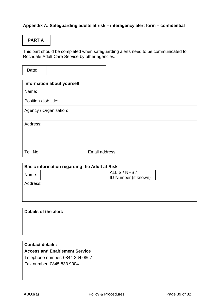## **Appendix A: Safeguarding adults at risk – interagency alert form – confidential**

# **PART A**

This part should be completed when safeguarding alerts need to be communicated to Rochdale Adult Care Service by other agencies.

Date:

| <b>Information about yourself</b> |                |
|-----------------------------------|----------------|
| Name:                             |                |
| Position / job title:             |                |
| Agency / Organisation:            |                |
| Address:                          |                |
| Tel. No:                          | Email address: |

| <b>Basic information regarding the Adult at Risk</b> |                      |
|------------------------------------------------------|----------------------|
| Name:                                                | ALLIS / NHS /        |
|                                                      | ID Number (if known) |
| Address:                                             |                      |
|                                                      |                      |
|                                                      |                      |
|                                                      |                      |
|                                                      |                      |

| Details of the alert:   |  |
|-------------------------|--|
|                         |  |
|                         |  |
|                         |  |
| <b>Contact details:</b> |  |

**Access and Enablement Service** 

Telephone number: 0844 264 0867

Fax number: 0845 833 9004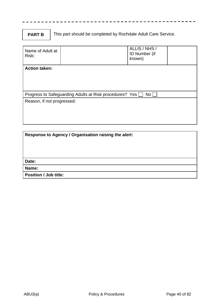## **PART B**

This part should be completed by Rochdale Adult Care Service.

| Name of Adult at<br>Risk:                                                  |  | ALLIS / NHS /<br>ID Number (if<br>known) |  |
|----------------------------------------------------------------------------|--|------------------------------------------|--|
| <b>Action taken:</b>                                                       |  |                                          |  |
| No <sub>1</sub><br>Progress to Safeguarding Adults at Risk procedures? Yes |  |                                          |  |
| Reason, if not progressed:                                                 |  |                                          |  |

| Response to Agency / Organisation raising the alert: |  |
|------------------------------------------------------|--|
|                                                      |  |
|                                                      |  |
|                                                      |  |
| Date:                                                |  |
| Name:                                                |  |
| <b>Position / Job title:</b>                         |  |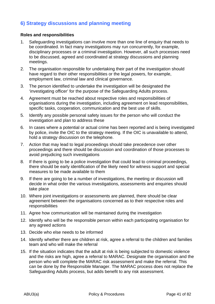# **6) Strategy discussions and planning meeting**

### **Roles and responsibilities**

- 1. Safeguarding investigations can involve more than one line of enquiry that needs to be coordinated. In fact many investigations may run concurrently, for example, disciplinary processes or a criminal investigation. However, all such processes need to be discussed, agreed and coordinated at strategy discussions and planning meetings.
- 2. The organisation responsible for undertaking their part of the investigation should have regard to their other responsibilities or the legal powers, for example, employment law, criminal law and clinical governance.
- 3. The person identified to undertake the investigation will be designated the 'investigating officer' for the purpose of the Safeguarding Adults process.
- 4. Agreement must be reached about respective roles and responsibilities of organisations during the investigation, including agreement on lead responsibilities, specific tasks, cooperation, communication and the best use of skills.
- 5. Identify any possible personal safety issues for the person who will conduct the investigation and plan to address these
- 6. In cases where a potential or actual crime has been reported and is being investigated by police, invite the OIC to the strategy meeting. If the OIC is unavailable to attend, hold a strategy discussion on the telephone.
- 7. Action that may lead to legal proceedings should take precedence over other proceedings and there should be discussion and coordination of those processes to avoid prejudicing such investigations
- 8. If there is going to be a police investigation that could lead to criminal proceedings, there should be early identification of the likely need for witness support and special measures to be made available to them
- 9. If there are going to be a number of investigations, the meeting or discussion will decide in what order the various investigations, assessments and enquiries should take place
- 10. Where joint investigations or assessments are planned, there should be clear agreement between the organisations concerned as to their respective roles and responsibilities
- 11. Agree how communication will be maintained during the investigation
- 12. Identify who will be the responsible person within each participating organisation for any agreed actions
- 13. Decide who else needs to be informed
- 14. Identify whether there are children at risk, agree a referral to the children and families team and who will make the referral
- 15. If the situation indicates that the adult at risk is being subjected to domestic violence and the risks are high, agree a referral to MARAC. Designate the organisation and the person who will complete the MARAC risk assessment and make the referral. This can be done by the Responsible Manager. The MARAC process does not replace the Safeguarding Adults process, but adds benefit to any risk assessment.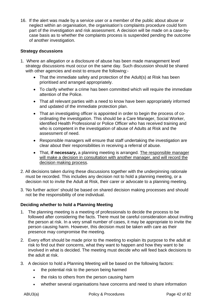16. If the alert was made by a service user or a member of the public about abuse or neglect within an organisation, the organisation's complaints procedure could form part of the investigation and risk assessment. A decision will be made on a case-bycase basis as to whether the complaints process is suspended pending the outcome of another investigation.

### **Strategy dscussions**

- 1. Where an allegation or a disclosure of abuse has been made management level strategy discussions must occur on the same day. Such discussion should be shared with other agencies and exist to ensure the following:-
	- That the immediate safety and protection of the Adult(s) at Risk has been prioritised and arranged appropriately.
	- To clarify whether a crime has been committed which will require the immediate attention of the Police.
	- That all relevant parties with a need to know have been appropriately informed and updated of the immediate protection plan.
	- That an investigating officer is appointed in order to begin the process of coordinating the investigation. This should be a Care Manager, Social Worker, identified Health Professional or Police Officer who has received training and who is competent in the investigation of abuse of Adults at Risk and the assessment of need.
	- Responsible managers will ensure that staff undertaking the investigation are clear about their responsibilities in receiving a referral of abuse.
	- That, **if necessary,** a planning meeting is arranged. The responsible manager will make a decision in consultation with another manager, and will record the decision making process.
- 2. All decisions taken during these discussions together with the underpinning rationale must be recorded. This includes any decision not to hold a planning meeting, or a decision not to invite the Adult at Risk, their carer or advocate to a planning meeting.
- 3. 'No further action' should be based on shared decision making processes and should not be the responsibility of one individual.

#### **Deciding whether to hold a Planning Meeting**

- 1. The planning meeting is a meeting of professionals to decide the process to be followed after considering the facts. There must be careful consideration about inviting the person at risk. In a very small number of cases, it may be appropriate to invite the person causing harm. However, this decision must be taken with care as their presence may compromise the meeting.
- 2. Every effort should be made prior to the meeting to explain its purpose to the adult at risk to find out their concerns, what they want to happen and how they want to be involved in what is decided. The meeting must decide who will feed back decisions to the adult at risk.
- 3. A decision to hold a Planning Meeting will be based on the following factors:
	- the potential risk to the person being harmed
	- the risks to others from the person causing harm
	- whether several organisations have concerns and need to share information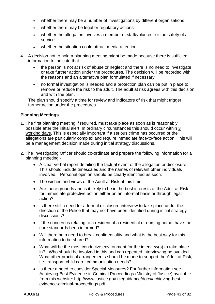- whether there may be a number of investigations by different organisations
- whether there may be legal or regulatory actions
- whether the allegation involves a member of staff/volunteer or the safety of a service
- whether the situation could attract media attention.
- 4. A decision not to hold a planning meeting might be made because there is sufficient information to indicate that:
	- the person is not at risk of abuse or neglect and there is no need to investigate or take further action under the procedures. The decision will be recorded with the reasons and an alternative plan formulated if necessary
	- no formal investigation is needed and a protection plan can be put in place to remove or reduce the risk to the adult. The adult at risk agrees with this decision and with the plan.

The plan should specify a time for review and indicators of risk that might trigger further action under the procedures.

### **Planning Meetings**

- 1. The first planning meeting if required, must take place as soon as is reasonably possible after the initial alert. In ordinary circumstances this should occur within 3 working days. This is especially important if a serious crime has occurred or the allegations are particularly complex and require immediate face-to-face action. This will be a management decision made during initial strategy discussions.
- 2. The Investigating Officer should co-ordinate and prepare the following information for a planning meeting:-
	- A clear verbal report detailing the factual event of the allegation or disclosure. This should include timescales and the names of relevant other individuals involved. Personal opinion should be clearly identified as such.
	- The wishes and views of the Adult at Risk at this time.
	- Are there grounds and is it likely to be in the best interests of the Adult at Risk for immediate protective action either on an informal basis or through legal action?
	- Is there still a need for a formal disclosure interview to take place under the direction of the Police that may not have been identified during initial strategy discussions?
	- If the concern is relating to a resident of a residential or nursing home, have the care standards been informed?
	- Will there be a need to break confidentiality and what is the best way for this information to be shared?
	- What will be the most conducive environment for the interview(s) to take place in? Who should be involved in this and can repeated interviewing be avoided. What other practical arrangements should be made to support the Adult at Risk, i.e. transport, child care, communication needs?
	- Is there a need to consider Special Measures? For further information see Achieving Best Evidence in Criminal Proceedings (Ministry of Justice) available from this website: http://www.justice.gov.uk/guidance/docs/achieving-bestevidence-criminal-proceedings.pdf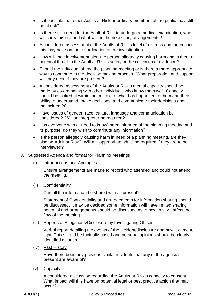- Is it possible that other Adults at Risk or ordinary members of the public may still be at risk?
- Is there still a need for the Adult at Risk to undergo a medical examination, who will carry this out and what will be the necessary arrangements?
- A considered assessment of the Adults at Risk's level of distress and the impact this may have on the co-ordination of the investigation.
- How will their involvement alert the person allegedly causing harm and is there a potential threat to the Adult at Risk's safety or the collection of evidence?
- Should the individual attend the planning meeting or is there a more appropriate way to contribute to the decision making process. What preparation and support will they need if they are present?
- A considered assessment of the Adults at Risk's mental capacity should be made by co-ordinating with other individuals who know them well. Capacity should be looked at within the context of what has happened to them and their ability to understand, make decisions, and communicate their decisions about the incident(s).
- Have issues of gender, race, culture, language and communication be considered? Will an interpreter be required?
- Has everyone with a "need to know" been informed of the planning meeting and its purpose, do they wish to contribute any information?
- Is the person allegedly causing harm in need of a planning meeting, are they also an Adult at Risk? Will an "appropriate adult" be required if they are to be interviewed?

#### 3. Suggested Agenda and format for Planning Meetings

(i) Introductions and Apologies

 Ensure arrangements are made to record who attended and could not attend the meeting.

(ii) Confidentiality

Can all the information be shared with all present?

 Statement of Confidentiality and arrangements for information sharing should be discussed. It may be decided some information will have limited sharing potential and arrangements should be discussed as to how this will affect the flow of the meeting.

(iii) Reports of Allegations/Disclosure by Investigating Officer

 Verbal report detailing the events of the incident/disclosure and how it came to light. This should be factually based and personal opinions should be clearly identified as such.

(iv) Past History

Have there been any previous similar incidents that any of the agencies present are aware of?

(v) Capacity

 A considered discussion regarding the Adults at Risk's capacity to consent. What impact will this have on potential legal or best practice action that may occur?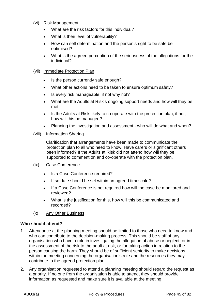#### (vi) Risk Management

- What are the risk factors for this individual?
- What is their level of vulnerability?
- How can self determination and the person's right to be safe be optimised?
- What is the agreed perception of the seriousness of the allegations for the individual?

#### (vii) Immediate Protection Plan

- Is the person currently safe enough?
- What other actions need to be taken to ensure optimum safety?
- Is every risk manageable, if not why not?
- What are the Adults at Risk's ongoing support needs and how will they be met
- Is the Adults at Risk likely to co-operate with the protection plan, if not, how will this be managed?
- Planning the investigation and assessment who will do what and when?

#### (viii) Information Sharing

 Clarification that arrangements have been made to communicate the protection plan to all who need to know. Have carers or significant others been informed? If the Adults at Risk did not attend how will they be supported to comment on and co-operate with the protection plan.

#### (ix) Case Conference

- Is a Case Conference required?
- If so date should be set within an agreed timescale?
- If a Case Conference is not required how will the case be monitored and reviewed?
- What is the justification for this, how will this be communicated and recorded?
- (x) Any Other Business

#### **Who should attend?**

- 1. Attendance at the planning meeting should be limited to those who need to know and who can contribute to the decision-making process. This should be staff of any organisation who have a role in investigating the allegation of abuse or neglect, or in the assessment of the risk to the adult at risk, or for taking action in relation to the person causing the harm. They should be of sufficient seniority to make decisions within the meeting concerning the organisation's role and the resources they may contribute to the agreed protection plan.
- 2. Any organisation requested to attend a planning meeting should regard the request as a priority. If no one from the organisation is able to attend, they should provide information as requested and make sure it is available at the meeting.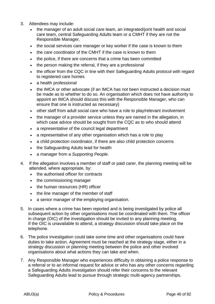- 3. Attendees may include:
	- the manager of an adult social care team, an integrated/joint health and social care team, central Safeguarding Adults team or a CMHT if they are not the Responsible Manager.
	- the social services care manager or key worker if the case is known to them
	- the care coordinator of the CMHT if the case is known to them
	- the police, if there are concerns that a crime has been committed
	- the person making the referral, if they are a professional
	- the officer from the CQC in line with their Safeguarding Adults protocol with regard to registered care homes
	- a health professional
	- the IMCA or other advocate (if an IMCA has not been instructed a decision must be made as to whether to do so. An organisation which does not have authority to appoint an IMCA should discuss this with the Responsible Manager, who can ensure that one is instructed as necessary)
	- other staff from adult social care who have a role to play/relevant involvement
	- the manager of a provider service unless they are named in the allegation, in which case advice should be sought from the CQC as to who should attend
	- a representative of the council legal department
	- a representative of any other organisation which has a role to play
	- a child protection coordinator, if there are also child protection concerns
	- the Safeguarding Adults lead for health
	- a manager from a *Supporting People*.
- 4. If the allegation involves a member of staff or paid carer, the planning meeting will be attended, where appropriate, by:
	- the authorised officer for contracts
	- the commissioning manager
	- the human resources (HR) officer
	- the line manager of the member of staff
	- a senior manager of the employing organisation.
- 5. In cases where a crime has been reported and is being investigated by police all subsequent action by other organisations must be coordinated with them. The officer in charge (OIC) of the investigation should be invited to any planning meeting. If the OIC is unavailable to attend, a strategy discussion should take place on the telephone.
- 6. The police investigation could take some time and other organisations could have duties to take action. Agreement must be reached at the strategy stage, either in a strategy discussion or planning meeting between the police and other involved organisations about what actions they can take and when.
- 7. Any Responsible Manager who experiences difficulty in obtaining a police response to a referral or to an informal request for advice or who has any other concerns regarding a Safeguarding Adults investigation should refer their concerns to the relevant Safeguarding Adults lead to pursue through strategic multi-agency partnerships.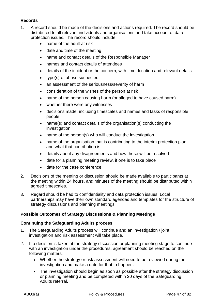## **Records**

- 1. A record should be made of the decisions and actions required. The record should be distributed to all relevant individuals and organisations and take account of data protection issues. The record should include:
	- name of the adult at risk
	- date and time of the meeting
	- name and contact details of the Responsible Manager
	- names and contact details of attendees
	- details of the incident or the concern, with time, location and relevant details
	- type(s) of abuse suspected
	- an assessment of the seriousness/severity of harm
	- consideration of the wishes of the person at risk
	- name of the person causing harm (or alleged to have caused harm)
	- whether there were any witnesses
	- decisions made, including timescales and names and tasks of responsible people
	- name(s) and contact details of the organisation(s) conducting the investigation
	- name of the person(s) who will conduct the investigation
	- name of the organisation that is contributing to the interim protection plan and what that contribution is
	- details about any disagreements and how these will be resolved
	- date for a planning meeting review, if one is to take place
	- date for the case conference.
- 2. Decisions of the meeting or discussion should be made available to participants at the meeting within 24 hours, and minutes of the meeting should be distributed within agreed timescales.
- 3. Regard should be had to confidentiality and data protection issues. Local partnerships may have their own standard agendas and templates for the structure of strategy discussions and planning meetings.

#### **Possible Outcomes of Strategy Discussions & Planning Meetings**

#### **Continuing the Safeguarding Adults process**

- 1. The Safeguarding Adults process will continue and an investigation / joint investigation and risk assessment will take place.
- 2. If a decision is taken at the strategy discussion or planning meeting stage to continue with an investigation under the procedures, agreement should be reached on the following matters:
	- Whether the strategy or risk assessment will need to be reviewed during the investigation and make a date for that to happen.
	- The investigation should begin as soon as possible after the strategy discussion or planning meeting and be completed within 20 days of the Safeguarding Adults referral.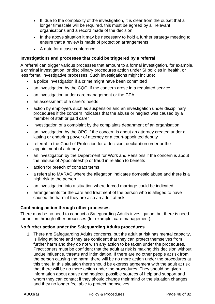- If, due to the complexity of the investigation, it is clear from the outset that a longer timescale will be required, this must be agreed by all relevant organisations and a record made of the decision
- In the above situation it may be necessary to hold a further strategy meeting to ensure that a review is made of protection arrangements
- A date for a case conference.

## **Investigations and processes that could be triggered by a referral**

A referral can trigger various processes that amount to a formal investigation, for example, a criminal investigation, or disciplinary procedures action under SI policies in health, or less formal investigative processes. Such investigations might include:

- a police investigation if a crime might have been committed
- an investigation by the CQC, if the concern arose in a regulated service
- an investigation under care management or the CPA
- an assessment of a carer's needs
- action by employers such as suspension and an investigation under disciplinary procedures if the concern indicates that the abuse or neglect was caused by a member of staff or paid carer
- investigation of a complaint by the complaints department of an organisation
- an investigation by the OPG if the concern is about an attorney created under a lasting or enduring power of attorney or a court-appointed deputy
- referral to the Court of Protection for a decision, declaration order or the appointment of a deputy
- an investigation by the Department for Work and Pensions if the concern is about the misuse of Appointeeship or fraud in relation to benefits
- action for breach of contract terms
- a referral to MARAC where the allegation indicates domestic abuse and there is a high risk to the person
- an investigation into a situation where forced marriage could be indicated
- arrangements for the care and treatment of the person who is alleged to have caused the harm if they are also an adult at risk

#### **Continuing action through other processes**

There may be no need to conduct a Safeguarding Adults investigation, but there is need for action through other processes (for example, care management).

#### **No further action under the Safeguarding Adults procedures**

1. There are Safeguarding Adults concerns, but the adult at risk has mental capacity, is living at home and they are confident that they can protect themselves from further harm and they do not wish any action to be taken under the procedures. Practitioners must be confident that the adult at risk is making this decision without undue influence, threats and intimidation. If there are no other people at risk from the person causing the harm, there will be no more action under the procedures at this time. In this situation there should be express agreement with the adult at risk that there will be no more action under the procedures. They should be given information about abuse and neglect, possible sources of help and support and whom they can contact if they should change their mind or the situation changes and they no longer feel able to protect themselves.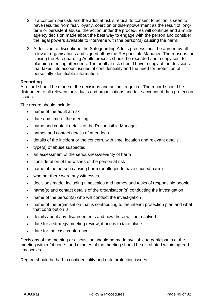- 2. If a concern persists and the adult at risk's refusal to consent to action is seen to have resulted from fear, loyalty, coercion or disempowerment as the result of longterm or persistent abuse, the action under the procedures will continue and a multiagency decision made about the best way to engage with the person and consider the legal powers available to intervene with the person(s) causing the harm.
- 3. A decision to discontinue the Safeguarding Adults process must be agreed by all relevant organisations and signed off by the Responsible Manager. The reasons for closing the Safeguarding Adults process should be recorded and a copy sent to planning meeting attendees. The adult at risk should have a copy of the decisions that takes into account issues of confidentiality and the need for protection of personally identifiable information.

### **Recording**

A record should be made of the decisions and actions required. The record should be distributed to all relevant individuals and organisations and take account of data protection issues.

The record should include:

- name of the adult at risk
- date and time of the meeting
- name and contact details of the Responsible Manager
- names and contact details of attendees
- details of the incident or the concern, with time, location and relevant details
- type(s) of abuse suspected
- an assessment of the seriousness/severity of harm
- consideration of the wishes of the person at risk
- name of the person causing harm (or alleged to have caused harm)
- whether there were any witnesses
- decisions made, including timescales and names and tasks of responsible people
- name(s) and contact details of the organisation(s) conducting the investigation
- name of the person(s) who will conduct the investigation
- name of the organisation that is contributing to the interim protection plan and what that contribution is
- details about any disagreements and how these will be resolved
- date for a strategy meeting review, if one is to take place
- date for the case conference.

Decisions of the meeting or discussion should be made available to participants at the meeting within 24 hours, and minutes of the meeting should be distributed within agreed timescales.

Regard should be had to confidentiality and data protection issues.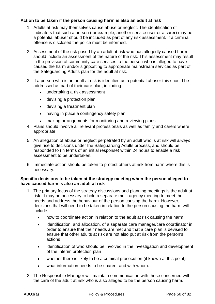### **Action to be taken if the person causing harm is also an adult at risk**

- 1. Adults at risk may themselves cause abuse or neglect. The identification of indicators that such a person (for example, another service user or a carer) may be a potential abuser should be included as part of any risk assessment. If a criminal offence is disclosed the police must be informed.
- 2. Assessment of the risk posed by an adult at risk who has allegedly caused harm should include an assessment of the nature of the risk. This assessment may result in the provision of community care services to the person who is alleged to have caused the harm and/or signposting to appropriate mainstream services as part of the Safeguarding Adults plan for the adult at risk.
- 3. If a person who is an adult at risk is identified as a potential abuser this should be addressed as part of their care plan, including:
	- undertaking a risk assessment
	- devising a protection plan
	- devising a treatment plan
	- having in place a contingency safety plan
	- making arrangements for monitoring and reviewing plans.
- 4. Plans should involve all relevant professionals as well as family and carers where appropriate.
- 5. An allegation of abuse or neglect perpetrated by an adult who is at risk will *always* give rise to decisions under the Safeguarding Adults process, and should be responded to (in terms of an initial response) within 24 hours to enable a risk assessment to be undertaken.
- 6. Immediate action should be taken to protect others at risk from harm where this is necessary.

### **Specific decisions to be taken at the strategy meeting when the person alleged to have caused harm is also an adult at risk**

- 1. The primary focus of the strategy discussions and planning meetings is the adult at risk. It may be necessary to hold a separate multi-agency meeting to meet the needs and address the behaviour of the person causing the harm. However, decisions that will need to be taken in relation to the person causing the harm will include:
	- how to coordinate action in relation to the adult at risk causing the harm
	- identification, and allocation, of a separate care manager/care coordinator in order to ensure that their needs are met and that a care plan is devised to ensure that other adults at risk are not also put at risk from the person's actions
	- identification of who should be involved in the investigation and development of the interim protection plan
	- whether there is likely to be a criminal prosecution (if known at this point)
	- what information needs to be shared, and with whom.
- 2. The Responsible Manager will maintain communication with those concerned with the care of the adult at risk who is also alleged to be the person causing harm.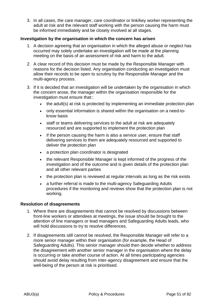3. In all cases, the care manager, care coordinator or link/key worker representing the adult at risk and the relevant staff working with the person causing the harm must be informed immediately and be closely involved at all stages.

#### **Investigation by the organisation in which the concern has arisen**

- 1. A decision agreeing that an organisation in which the alleged abuse or neglect has occurred may solely undertake an investigation will be made at the planning meeting on the basis of an assessment of risk and harm to the adult.
- 2. A clear record of this decision must be made by the Responsible Manager with reasons for the decision listed. Any organisation conducting an investigation must allow their records to be open to scrutiny by the Responsible Manager and the multi-agency process.
- 3. If it is decided that an investigation will be undertaken by the organisation in which the concern arose, the manager within the organisation responsible for the investigation must ensure that::
	- the adult(s) at risk is protected by implementing an immediate protection plan
	- only essential information is shared within the organisation on a need-toknow basis
	- staff or teams delivering services to the adult at risk are adequately resourced and are supported to implement the protection plan
	- if the person causing the harm is also a service user, ensure that staff delivering services to them are adequately resourced and supported to deliver the protection plan
	- a protection plan coordinator is designated
	- the relevant Responsible Manager is kept informed of the progress of the investigation and of the outcome and is given details of the protection plan and all other relevant parties
	- the protection plan is reviewed at regular intervals as long as the risk exists
	- a further referral is made to the multi-agency Safeguarding Adults procedures if the monitoring and reviews show that the protection plan is not working.

#### **Resolution of disagreements**

- 1. Where there are disagreements that cannot be resolved by discussions between front-line workers or attendees at meetings, the issue should be brought to the attention of line managers or lead managers and Safeguarding Adults leads, who will hold discussions to try to resolve differences.
- 2. If disagreements still cannot be resolved, the Responsible Manager will refer to a more senior manager within their organisation (for example, the Head of Safeguarding Adults). This senior manager should then decide whether to address the disagreement with another senior manager in the organisation where the delay is occurring or take another course of action. At all times participating agencies should avoid delay resulting from inter-agency disagreement and ensure that the well-being of the person at risk is prioritised.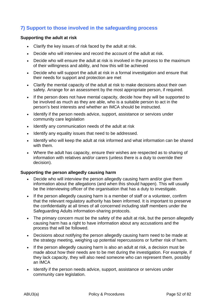# **7) Support to those involved in the safeguarding process**

#### **Supporting the adult at risk**

- Clarify the key issues of risk faced by the adult at risk.
- Decide who will interview and record the account of the adult at risk.
- Decide who will ensure the adult at risk is involved in the process to the maximum of their willingness and ability, and how this will be achieved
- Decide who will support the adult at risk in a formal investigation and ensure that their needs for support and protection are met
- Clarify the mental capacity of the adult at risk to make decisions about their own safety. Arrange for an assessment by the most appropriate person, if required.
- If the person does not have mental capacity, decide how they will be supported to be involved as much as they are able, who is a suitable person to act in the person's best interests and whether an IMCA should be instructed.
- Identify if the person needs advice, support, assistance or services under community care legislation
- Identify any communication needs of the adult at risk
- Identify any equality issues that need to be addressed.
- Identify who will keep the adult at risk informed and what information can be shared with them.
- Where the adult has capacity, ensure their wishes are respected as to sharing of information with relatives and/or carers (unless there is a duty to override their decision).

#### **Supporting the person allegedly causing harm**

- Decide who will interview the person allegedly causing harm and/or give them information about the allegations (and when this should happen). This will usually be the interviewing officer of the organisation that has a duty to investigate.
- If the person allegedly causing harm is a member of staff or a volunteer, confirm that the relevant regulatory authority has been informed. It is important to preserve the confidentiality at all times of all concerned including staff members under the Safeguarding Adults information-sharing protocols.
- The primary concern must be the safety of the adult at risk, but the person allegedly causing harm has a right to have information about any accusations and the process that will be followed.
- Decisions about notifying the person allegedly causing harm need to be made at the strategy meeting, weighing up potential repercussions or further risk of harm.
- If the person allegedly causing harm is also an adult at risk, a decision must be made about how their needs are to be met during the investigation. For example, if they lack capacity, they will also need someone who can represent them, possibly an IMCA
- Identify if the person needs advice, support, assistance or services under community care legislation.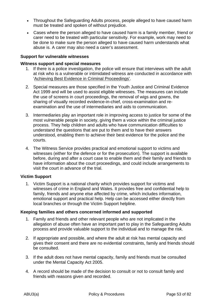- Throughout the Safeguarding Adults process, people alleged to have caused harm must be treated and spoken of without prejudice.
- Cases where the person alleged to have caused harm is a family member, friend or carer need to be treated with particular sensitivity. For example, work may need to be done to make sure the person alleged to have caused harm understands what abuse is. A carer may also need a carer's assessment.

#### **Support for vulnerable witnesses**

#### **Witness support and special measures**

- 1. If there is a police investigation, the police will ensure that interviews with the adult at risk who is a vulnerable or intimidated witness are conducted in accordance with 'Achieving Best Evidence in Criminal Proceedings'.
- 2. Special measures are those specified in the Youth Justice and Criminal Evidence Act 1999 and will be used to assist eligible witnesses. The measures can include the use of screens in court proceedings, the removal of wigs and gowns, the sharing of visually recorded evidence-in-chief, cross-examination and reexamination and the use of intermediaries and aids to communication.
- 3. Intermediaries play an important role in improving access to justice for some of the most vulnerable people in society, giving them a voice within the criminal justice process. They help children and adults who have communication difficulties to understand the questions that are put to them and to have their answers understood, enabling them to achieve their best evidence for the police and the courts.
- 4. The Witness Service provides practical and emotional support to victims and witnesses (either for the defence or for the prosecution). The support is available before, during and after a court case to enable them and their family and friends to have information about the court proceedings, and could include arrangements to visit the court in advance of the trial.

#### **Victim Support**

1. Victim Support is a national charity which provides support for victims and witnesses of crime in England and Wales. It provides free and confidential help to family, friends and anyone else affected by crime, which includes information, emotional support and practical help. Help can be accessed either directly from local branches or through the Victim Support helpline.

#### **Keeping families and others concerned informed and supported**

- 1. Family and friends and other relevant people who are not implicated in the allegation of abuse often have an important part to play in the Safeguarding Adults process and provide valuable support to the individual and to manage the risk.
- 2. If appropriate and possible, and where the adult at risk has mental capacity and gives their consent and there are no evidential constraints, family and friends should be consulted.
- 3. If the adult does not have mental capacity, family and friends must be consulted under the Mental Capacity Act 2005.
- 4. A record should be made of the decision to consult or not to consult family and friends with reasons given and recorded.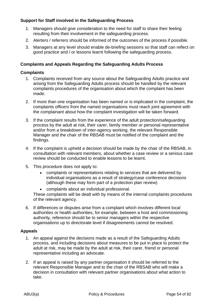## **Support for Staff involved in the Safeguarding Process**

- 1. Managers should give consideration to the need for staff to share their feeling resulting from their involvement in the safeguarding process.
- 2. Alerters / referrers should be informed of the outcomes of the process if possible.
- 3. Managers at any level should enable de-briefing sessions so that staff can reflect on good practice and / or lessons learnt following the safeguarding process.

### **Complaints and Appeals Regarding the Safeguarding Adults Process**

#### **Complaints**

- 1. Complaints received from any source about the Safeguarding Adults practice and arising from the Safeguarding Adults process should be handled by the relevant complaints procedures of the organisation about which the complaint has been made.
- 2. If more than one organisation has been named or is implicated in the complaint, the complaints officers from the named organisations must reach joint agreement with the complainant about how the complaint investigation will be taken forward.
- 3. If the complaint results from the experience of the adult protection/safeguarding process by the adult at risk, their carer, family member or personal representative and/or from a breakdown of inter-agency working, the relevant Responsible Manager and the chair of the RBSAB must be notified of the complaint and the findings.
- 4. If the complaint is upheld a decision should be made by the chair of the RBSAB, in consultation with relevant members, about whether a case review or a serious case review should be conducted to enable lessons to be learnt.
- 5. This procedure does not apply to:
	- complaints or representations relating to services that are delivered by individual organisations as a result of strategy/case conference decisions (although these may form part of a protection plan review)
	- complaints about an individual professional.

These complaints will be dealt with by means of the internal complaints procedures of the relevant agency.

6. If differences or disputes arise from a complaint which involves different local authorities or health authorities, for example, between a host and commissioning authority, reference should be to senior managers within the respective organisations up to directorate level if disagreements cannot be resolved.

#### **Appeals**

- 1. An appeal against the decisions made as a result of the Safeguarding Adults process, and including decisions about measures to be put in place to protect the adult at risk, may be made by the adult at risk, their carer, friend or personal representative including an advocate.
- 2. If an appeal is raised by any partner organisation it should be referred to the relevant Responsible Manager and to the chair of the RBSAB who will make a decision in consultation with relevant partner organisations about what action to take.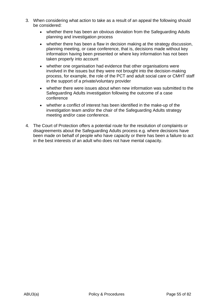- 3. When considering what action to take as a result of an appeal the following should be considered:
	- whether there has been an obvious deviation from the Safeguarding Adults planning and investigation process
	- whether there has been a flaw in decision making at the strategy discussion, planning meeting, or case conference, that is, decisions made without key information having been presented or where key information has not been taken properly into account
	- whether one organisation had evidence that other organisations were involved in the issues but they were not brought into the decision-making process, for example, the role of the PCT and adult social care or CMHT staff in the support of a private/voluntary provider
	- whether there were issues about when new information was submitted to the Safeguarding Adults investigation following the outcome of a case conference
	- whether a conflict of interest has been identified in the make-up of the investigation team and/or the chair of the Safeguarding Adults strategy meeting and/or case conference.
- 4. The Court of Protection offers a potential route for the resolution of complaints or disagreements about the Safeguarding Adults process e.g. where decisions have been made on behalf of people who have capacity or there has been a failure to act in the best interests of an adult who does not have mental capacity.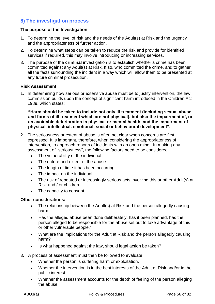## **8) The investigation process**

### **The purpose of the Investigation**

- 1. To determine the level of risk and the needs of the Adult(s) at Risk and the urgency and the appropriateness of further action.
- 2. To determine what steps can be taken to reduce the risk and provide for identified services if required, this may involve introducing or increasing services.
- 3. The purpose of the **criminal** investigation is to establish whether a crime has been committed against any Adult(s) at Risk. If so, who committed the crime, and to gather all the facts surrounding the incident in a way which will allow them to be presented at any future criminal prosecution.

#### **Risk Assessment**

1. In determining how serious or extensive abuse must be to justify intervention, the law commission builds upon the concept of significant harm introduced in the Children Act 1989, which states:

**"Harm should be taken to include not only ill treatment (including sexual abuse and forms of ill treatment which are not physical), but also the impairment of, or an avoidable deterioration in physical or mental health, and the impairment of physical, intellectual, emotional, social or behavioural development".** 

- 2. The seriousness or extent of abuse is often not clear when concerns are first expressed. It is important, therefore, when considering the appropriateness of intervention, to approach reports of incidents with an open mind. In making any assessment of "seriousness", the following factors need to be considered.
	- The vulnerability of the individual
	- The nature and extent of the abuse
	- The length of time it has been occurring
	- The impact on the individual
	- The risk of repeated or increasingly serious acts involving this or other Adult(s) at Risk and / or children.
	- The capacity to consent

#### **Other considerations:**

- The relationship between the Adult(s) at Risk and the person allegedly causing harm.
- Has the alleged abuse been done deliberately, has it been planned, has the person alleged to be responsible for the abuse set out to take advantage of this or other vulnerable people?
- What are the implications for the Adult at Risk and the person allegedly causing harm?
- Is what happened against the law, should legal action be taken?
- 3. A process of assessment must then be followed to evaluate:
	- Whether the person is suffering harm or exploitation.
	- Whether the intervention is in the best interests of the Adult at Risk and/or in the public interest.
	- Whether the assessment accounts for the depth of feeling of the person alleging the abuse.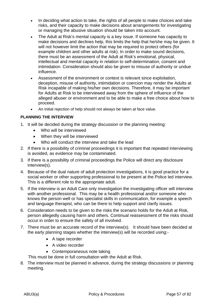- In deciding what action to take, the rights of all people to make choices and take risks, and their capacity to make decisions about arrangements for investigating or managing the abusive situation should be taken into account.
- The Adult at Risk's mental capacity is a key issue. If someone has capacity to make decisions and declines help, this limits the help that he/she may be given. It will not however limit the action that may be required to protect others (for example children and other adults at risk). In order to make sound decisions, there must be an assessment of the Adult at Risk's emotional, physical, intellectual and mental capacity in relation to self-determination, consent and intimidation. Consideration should also be given to misuse of authority or undue influence.
- Assessment of the environment or context is relevant since exploitation, deception, misuse of authority, intimidation or coercion may render the Adults at Risk incapable of making his/her own decisions. Therefore, it may be important for Adults at Risk to be interviewed away from the sphere of influence of the alleged abuser or environment and to be able to make a free choice about how to proceed.
- An initial rejection of help should not always be taken at face value.

### **PLANNING THE INTERVIEW**

- 1. It will be decided during the strategy discussion or the planning meeting:
	- Who will be interviewed
	- When they will be interviewed
	- Who will conduct the interview and take the lead
- 2. If there is a possibility of criminal proceedings it is important that repeated interviewing is avoided, as evidence may be contaminated.
- 3. If there is a possibility of criminal proceedings the Police will direct any disclosure interview(s).
- 4. Because of the dual nature of adult protection investigations, it is good practice for a social worker or other supporting professional to be present at the Police led interview. This is a different role to the appropriate adult.
- 5. If the interview is an Adult Care only investigation the investigating officer will interview with another professional. This may be a health professional and/or someone who knows the person well or has specialist skills in communication, for example a speech and language therapist, who can be there to help support and clarify issues.
- 6. Consideration needs to be given to the risks the scenario holds for the Adult at Risk, person allegedly causing harm and others. Continual reassessment of the risks should occur in order to ensure the safety of all involved.
- 7. There must be an accurate record of the interview(s). It should have been decided at the early planning stages whether the interview(s) will be recorded using:-
	- A tape recorder
	- A video recorder
	- Contemporaneous note taking

This must be done in full consultation with the Adult at Risk.

8. The interview must be planned in advance, during the strategy discussions or planning meeting.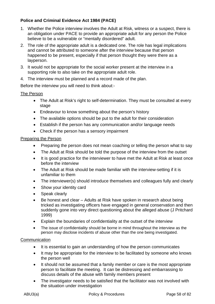## **Police and Criminal Evidence Act 1984 (PACE)**

- 1. Whether the Police interview involves the Adult at Risk, witness or a suspect, there is an obligation under PACE to provide an appropriate adult for any person the Police believe to be a vulnerable or "mentally disordered" adult.
- 2. The role of the appropriate adult is a dedicated one. The role has legal implications and cannot be attributed to someone after the interview because that person happened to be present, especially if that person thought they were there as a layperson.
- 3. It would not be appropriate for the social worker present at the interview in a supporting role to also take on the appropriate adult role.
- 4. The interview must be planned and a record made of the plan.

Before the interview you will need to think about:-

### The Person

- The Adult at Risk's right to self-determination. They must be consulted at every stage
- Endeavour to know something about the person's history
- The available options should be put to the adult for their consideration
- Establish if the person has any communication and/or language needs
- Check if the person has a sensory impairment

#### Preparing the Person

- Preparing the person does not mean coaching or telling the person what to say
- The Adult at Risk should be told the purpose of the interview from the outset
- It is good practice for the interviewer to have met the Adult at Risk at least once before the interview
- The Adult at Risk should be made familiar with the interview-setting if it is unfamiliar to them
- The interviewer(s) should introduce themselves and colleagues fully and clearly
- Show your identity card
- Speak clearly
- Be honest and clear Adults at Risk have spoken in research about being tricked as investigating officers have engaged in general conservation and then suddenly gone into very direct questioning about the alleged abuse (J Pritchard 1999)
- Explain the boundaries of confidentiality at the outset of the interview
- The issue of confidentiality should be borne in mind throughout the interview as the person may disclose incidents of abuse other than the one being investigated.

#### **Communication**

- It is essential to gain an understanding of how the person communicates
- It may be appropriate for the interview to be facilitated by someone who knows the person well
- It should not be assumed that a family member or care is the most appropriate person to facilitate the meeting. It can be distressing and embarrassing to discuss details of the abuse with family members present
- The investigator needs to be satisfied that the facilitator was not involved with the situation under investigation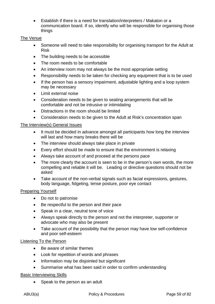• Establish if there is a need for translation/interpreters / Makaton or a communication board. If so, identify who will be responsible for organising those things

#### The Venue

- Someone will need to take responsibility for organising transport for the Adult at Risk
- The building needs to be accessible
- The room needs to be comfortable
- An interview room may not always be the most appropriate setting
- Responsibility needs to be taken for checking any equipment that is to be used
- If the person has a sensory impairment, adjustable lighting and a loop system may be necessary
- Limit external noise
- Consideration needs to be given to seating arrangements that will be comfortable and not be intrusive or intimidating
- Distractions in the room should be limited
- Consideration needs to be given to the Adult at Risk's concentration span

## The Interview(s) General Issues

- It must be decided in advance amongst all participants how long the interview will last and how many breaks there will be
- The interview should always take place in private
- Every effort should be made to ensure that the environment is relaxing
- Always take account of and proceed at the persons pace
- The more clearly the account is seen to be in the person's own words, the more compelling and reliable it will be. Leading or directive questions should not be asked
- Take account of the non-verbal signals such as facial expressions, gestures, body language, fidgeting, tense posture, poor eye contact

#### Preparing Yourself

- Do not to patronise
- Be respectful to the person and their pace
- Speak in a clear, neutral tone of voice
- Always speak directly to the person and not the interpreter, supporter or advocate who may also be present
- Take account of the possibility that the person may have low self-confidence and poor self-esteem

#### Listening To the Person

- Be aware of similar themes
- Look for repetition of words and phrases
- Information may be disjointed but significant
- Summarise what has been said in order to confirm understanding

## Basic Interviewing Skills

• Speak to the person as an adult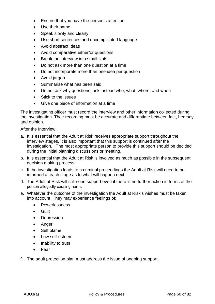- Ensure that you have the person's attention
- Use their name
- Speak slowly and clearly
- Use short sentences and uncomplicated language
- Avoid abstract ideas
- Avoid comparative either/or questions
- Break the interview into small slots
- Do not ask more than one question at a time
- Do not incorporate more than one idea per question
- Avoid jargon
- Summarise what has been said
- Do not ask why questions, ask instead who, what, where, and when
- Stick to the issues
- Give one piece of information at a time

The investigating officer must record the interview and other information collected during the investigation. Their recording must be accurate and differentiate between fact, hearsay and opinion.

### After the Interview

- a. It is essential that the Adult at Risk receives appropriate support throughout the interview stages. It is also important that this support is continued after the investigation. The most appropriate person to provide this support should be decided during the initial planning discussions or meeting.
- b. It is essential that the Adult at Risk is involved as much as possible in the subsequent decision making process.
- c. If the investigation leads to a criminal proceedings the Adult at Risk will need to be informed at each stage as to what will happen next.
- d. The Adult at Risk will still need support even if there is no further action in terms of the person allegedly causing harm.
- e. Whatever the outcome of the investigation the Adult at Risk's wishes must be taken into account. They may experience feelings of:
	- Powerlessness
	- Guilt
	- Depression
	- Anger
	- Self blame
	- Low self-esteem
	- Inability to trust
	- Fear
- f. The adult protection plan must address the issue of ongoing support.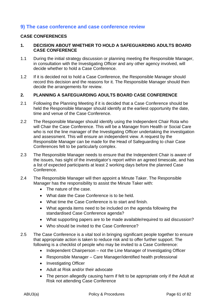## **9) The case conference and case conference review**

#### **CASE CONFERENCES**

#### **1. DECISION ABOUT WHETHER TO HOLD A SAFEGUARDING ADULTS BOARD CASE CONFERENCE**

- 1.1 During the initial strategy discussion or planning meeting the Responsible Manager, in consultation with the Investigating Officer and any other agency involved, will decide whether to hold a Case Conference.
- 1.2 If it is decided not to hold a Case Conference, the Responsible Manager should record this decision and the reasons for it. The Responsible Manager should then decide the arrangements for review.

### **2. PLANNING A SAFEGUARDING ADULTS BOARD CASE CONFERENCE**

- 2.1 Following the Planning Meeting if it is decided that a Case Conference should be held the Responsible Manager should identify at the earliest opportunity the date, time and venue of the Case Conference.
- 2.2 The Responsible Manager should identify using the Independent Chair Rota who will Chair the Case Conference. This will be a Manager from Health or Social Care who is not the line manager of the Investigating Officer undertaking the investigation and assessment. This will ensure an independent view. A request by the Responsible Manager can be made for the Head of Safeguarding to chair Case Conferences felt to be particularly complex.
- 2.3 The Responsible Manager needs to ensure that the Independent Chair is aware of the issues, has sight of the investigator's report within an agreed timescale, and has a list of expected participants at least 2 working days before the planned Case Conference.
- 2.4 The Responsible Manager will then appoint a Minute Taker. The Responsible Manager has the responsibility to assist the Minute Taker with:
	- The nature of the case.
	- What date the Case Conference is to be held.
	- What time the Case Conference is to start and finish.
	- What agenda items need to be included on the agenda following the standardised Case Conference agenda?
	- What supporting papers are to be made available/required to aid discussion?
	- Who should be invited to the Case Conference?
- 2.5 The Case Conference is a vital tool in bringing significant people together to ensure that appropriate action is taken to reduce risk and to offer further support. The following is a checklist of people who may be invited to a Case Conference:
	- Independent Chairperson not the Line Manager of Investigating Officer
	- Responsible Manager Care Manager/identified health professional
	- Investigating Officer
	- Adult at Risk and/or their advocate
	- The person allegedly causing harm if felt to be appropriate only if the Adult at Risk not attending Case Conference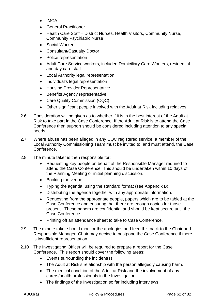- IMCA
- General Practitioner
- Health Care Staff District Nurses, Health Visitors, Community Nurse, Community Psychiatric Nurse
- Social Worker
- Consultant/Casualty Doctor
- Police representation
- Adult Care Service workers, included Domiciliary Care Workers, residential and day care staff
- Local Authority legal representation
- Individual's legal representation
- Housing Provider Representative
- Benefits Agency representative
- Care Quality Commission (CQC)
- Other significant people involved with the Adult at Risk including relatives
- 2.6 Consideration will be given as to whether if it is in the best interest of the Adult at Risk to take part in the Case Conference. If the Adult at Risk is to attend the Case Conference then support should be considered including attention to any special needs.
- 2.7 Where abuse has been alleged in any CQC registered service, a member of the Local Authority Commissioning Team must be invited to, and must attend, the Case Conference.
- 2.8 The minute taker is then responsible for:
	- Requesting key people on behalf of the Responsible Manager required to attend the Case Conference. This should be undertaken within 10 days of the Planning Meeting or initial planning discussion.
	- Booking the venue.
	- Typing the agenda, using the standard format (see Appendix B).
	- Distributing the agenda together with any appropriate information.
	- Requesting from the appropriate people, papers which are to be tabled at the Case Conference and ensuring that there are enough copies for those present. These papers are confidential and should be kept secure until the Case Conference.
	- Printing off an attendance sheet to take to Case Conference.
- 2.9 The minute taker should monitor the apologies and feed this back to the Chair and Responsible Manager. Chair may decide to postpone the Case Conference if there is insufficient representation.
- 2.10 The Investigating Officer will be required to prepare a report for the Case Conference. This report should cover the following areas:
	- Events surrounding the incident(s)
	- The Adult at Risk's relationship with the person allegedly causing harm.
	- The medical condition of the Adult at Risk and the involvement of any carers/health professionals in the Investigation.
	- The findings of the Investigation so far including interviews.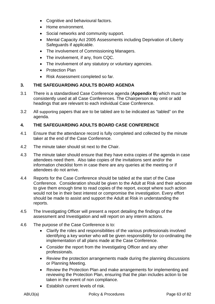- Cognitive and behavioural factors.
- Home environment.
- Social networks and community support.
- Mental Capacity Act 2005 Assessments including Deprivation of Liberty Safeguards if applicable.
- The involvement of Commissioning Managers.
- The involvement, if any, from CQC.
- The involvement of any statutory or voluntary agencies.
- Protection Plan
- Risk Assessment completed so far.

## **3. THE SAFEGUARDING ADULTS BOARD AGENDA**

- 3.1 There is a standardised Case Conference agenda (**Appendix B**) which must be consistently used at all Case Conferences. The Chairperson may omit or add headings that are relevant to each individual Case Conference.
- 3.2 All supporting papers that are to be tabled are to be indicated as "tabled" on the agenda.

## **4. THE SAFEGUARDING ADULTS BOARD CASE CONFERENCE**

- 4.1 Ensure that the attendance record is fully completed and collected by the minute taker at the end of the Case Conference.
- 4.2 The minute taker should sit next to the Chair.
- 4.3 The minute taker should ensure that they have extra copies of the agenda in case attendees need them. Also take copies of the invitations sent and/or the information checklist form in case there are any queries at the meeting or if attendees do not arrive.
- 4.4 Reports for the Case Conference should be tabled at the start of the Case Conference. Consideration should be given to the Adult at Risk and their advocate to give them enough time to read copies of the report, except where such action would not be in their best interest or compromise the investigation. Every effort should be made to assist and support the Adult at Risk in understanding the reports.
- 4.5 The Investigating Officer will present a report detailing the findings of the assessment and Investigation and will report on any interim actions.
- 4.6 The purpose of the Case Conference is to:
	- Clarify the roles and responsibilities of the various professionals involved identifying a key worker who will be given responsibility for co-ordinating the implementation of all plans made at the Case Conference.
	- Consider the report from the Investigating Officer and any other professionals.
	- Review the protection arrangements made during the planning discussions or Planning Meeting.
	- Review the Protection Plan and make arrangements for implementing and reviewing the Protection Plan, ensuring that the plan includes action to be taken in the event of non compliance.
	- Establish current levels of risk.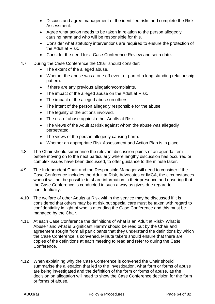- Discuss and agree management of the identified risks and complete the Risk Assessment.
- Agree what action needs to be taken in relation to the person allegedly causing harm and who will be responsible for this.
- Consider what statutory interventions are required to ensure the protection of the Adult at Risk.
- Consider the need for a Case Conference Review and set a date.
- 4.7 During the Case Conference the Chair should consider:
	- The extent of the alleged abuse.
	- Whether the abuse was a one off event or part of a long standing relationship pattern.
	- If there are any previous allegation/complaints.
	- The impact of the alleged abuse on the Adult at Risk.
	- The impact of the alleged abuse on others
	- The intent of the person allegedly responsible for the abuse.
	- The legality of the actions involved.
	- The risk of abuse against other Adults at Risk.
	- The views of the Adult at Risk against whom the abuse was allegedly perpetrated.
	- The views of the person allegedly causing harm.
	- Whether an appropriate Risk Assessment and Action Plan is in place.
- 4.8 The Chair should summarise the relevant discussion points of an agenda item before moving on to the next particularly where lengthy discussion has occurred or complex issues have been discussed, to offer guidance to the minute taker.
- 4.9 The Independent Chair and the Responsible Manager will need to consider if the Case Conference includes the Adult at Risk, Advocates or IMCA, the circumstances when it will not be possible to share information in their presence and ensuring that the Case Conference is conducted in such a way as gives due regard to confidentiality.
- 4.10 The welfare of other Adults at Risk within the service may be discussed if it is considered that others may be at risk but special care must be taken with regard to confidentiality in light of who is attending the Case Conference and this must be managed by the Chair.
- 4.11 At each Case Conference the definitions of what is an Adult at Risk? What is Abuse? and what is Significant Harm? should be read out by the Chair and agreement sought from all participants that they understand the definitions by which the Case Conference is convened. Minute takers should ensure that there are copies of the definitions at each meeting to read and refer to during the Case Conference.
- 4.12 When explaining why the Case Conference is convened the Chair should summarise the allegation that led to the Investigation, what form or forms of abuse are being investigated and the definition of the form or forms of abuse, as the decision on allegation will need to show the Case Conference decision for the form or forms of abuse.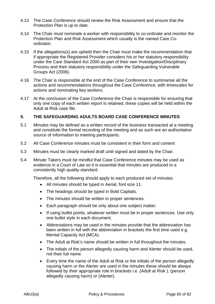- 4.13 The Case Conference should review the Risk Assessment and ensure that the Protection Plan is up to date.
- 4.14 The Chair must nominate a worker with responsibility to co-ordinate and monitor the Protection Plan and Risk Assessment which usually is the named Care Coordinator.
- 4.15 If the allegations(s) are upheld then the Chair must make the recommendation that if appropriate the Registered Provider considers his or her statutory responsibility under the Care Standard Act 2000 as part of their own Investigation/Disciplinary Process and their statutory responsibility under the Safeguarding Vulnerable Groups Act (2006).
- 4.16 The Chair is responsible at the end of the Case Conference to summarise all the actions and recommendations throughout the Case Conference, with timescales for actions and nominating key workers.
- 4.17 At the conclusion of the Case Conference the Chair is responsible for ensuring that only one copy of each written report is retained, these copies will be held within the Adult at Risk case file.

### **5. THE SAFEGUARDING ADULTS BOARD CASE CONFERENCE MINUTES**

- 5.1 Minutes may be defined as a written record of the business transacted at a meeting and constitute the formal recording of the meeting and as such are an authoritative source of information to meeting participants.
- 5.2 All Case Conference minutes must be consistent in their form and content
- 5.3 Minutes must be clearly marked draft until signed and dated by the Chair.
- 5.4 Minute Takers must be mindful that Case Conference minutes may be used as evidence in a Court of Law so it is essential that minutes are produced to a consistently high quality standard.

Therefore, all the following should apply to each produced set of minutes:

- All minutes should be typed in Aerial, font size 11.
- The headings should be typed in Bold Capitals.
- The minutes should be written in proper sentences.
- Each paragraph should be only about one subject matter.
- If using bullet points, whatever written must be in proper sentences. Use only one bullet style in each document.
- Abbreviations may be used in the minutes provide that the abbreviation has been written in full with the abbreviation in brackets the first time used e.g. Mental Capacity Act (MCA).
- The Adult at Risk's name should be written in full throughout the minutes.
- The initials of the person allegedly causing harm and Alerter should be used, not their full name.
- Every time the name of the Adult at Risk or the initials of the person allegedly causing harm or the Alerter are used in the minutes these should be always followed by their appropriate role in brackets i.e. (Adult at Risk ), (person allegedly causing harm) or (Alerter).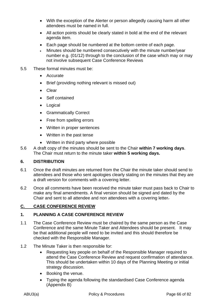- With the exception of the Alerter or person allegedly causing harm all other attendees must be named in full.
- All action points should be clearly stated in bold at the end of the relevant agenda item.
- Each page should be numbered at the bottom centre of each page.
- Minutes should be numbered consecutively with the minute number/year number e.g. (01/12) through to the conclusion of the case which may or may not involve subsequent Case Conference Reviews
- 5.5 These formal minutes must be:
	- Accurate
	- Brief (providing nothing relevant is missed out)
	- Clear
	- Self contained
	- Logical
	- Grammatically Correct
	- Free from spelling errors
	- Written in proper sentences
	- Written in the past tense
	- Written in third party where possible
- 5.6 A draft copy of the minutes should be sent to the Chair **within 7 working days**. The Chair must return to the minute taker **within 5 working days.**

## **6. DISTRIBUTION**

- 6.1 Once the draft minutes are returned from the Chair the minute taker should send to attendees and those who sent apologies clearly stating on the minutes that they are a draft version for comments with a covering letter.
- 6.2 Once all comments have been received the minute taker must pass back to Chair to make any final amendments. A final version should be signed and dated by the Chair and sent to all attendee and non attendees with a covering letter.

## **C. CASE CONFERENCE REVIEW**

#### **1. PLANNING A CASE CONFERENCE REVIEW**

- 1.1 The Case Conference Review must be chaired by the same person as the Case Conference and the same Minute Taker and Attendees should be present. It may be that additional people will need to be invited and this should therefore be checked with the Responsible Manager.
- 1.2 The Minute Taker is then responsible for:
	- Requesting key people on behalf of the Responsible Manager required to attend the Case Conference Review and request confirmation of attendance. This should be undertaken within 10 days of the Planning Meeting or initial strategy discussion.
	- Booking the venue.
	- Typing the agenda following the standardised Case Conference agenda (Appendix B)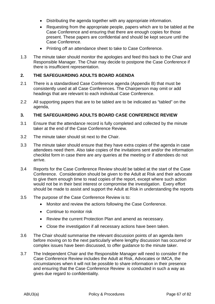- Distributing the agenda together with any appropriate information.
- Requesting from the appropriate people, papers which are to be tabled at the Case Conference and ensuring that there are enough copies for those present. These papers are confidential and should be kept secure until the Case Conference.
- Printing off an attendance sheet to take to Case Conference.
- 1.3 The minute taker should monitor the apologies and feed this back to the Chair and Responsible Manager. The Chair may decide to postpone the Case Conference if there is insufficient representation.

#### **2. THE SAFEGUARDING ADULTS BOARD AGENDA**

- 2.1 There is a standardised Case Conference agenda (Appendix B) that must be consistently used at all Case Conferences. The Chairperson may omit or add headings that are relevant to each individual Case Conference.
- 2.2 All supporting papers that are to be tabled are to be indicated as "tabled" on the agenda,

### **3. THE SAFEGUARDING ADULTS BOARD CASE CONFERENCE REVIEW**

- 3.1 Ensure that the attendance record is fully completed and collected by the minute taker at the end of the Case Conference Review.
- 3.2 The minute taker should sit next to the Chair.
- 3.3 The minute taker should ensure that they have extra copies of the agenda in case attendees need them. Also take copies of the invitations sent and/or the information checklist form in case there are any queries at the meeting or if attendees do not arrive.
- 3.4 Reports for the Case Conference Review should be tabled at the start of the Case Conference. Consideration should be given to the Adult at Risk and their advocate to give them enough time to read copies of the report, except where such action would not be in their best interest or compromise the investigation. Every effort should be made to assist and support the Adult at Risk in understanding the reports
- 3.5 The purpose of the Case Conference Review is to:
	- Monitor and review the actions following the Case Conference.
	- Continue to monitor risk
	- Review the current Protection Plan and amend as necessary.
	- Close the investigation if all necessary actions have been taken.
- 3.6 The Chair should summarise the relevant discussion points of an agenda item before moving on to the next particularly where lengthy discussion has occurred or complex issues have been discussed, to offer guidance to the minute taker.
- 3.7 The Independent Chair and the Responsible Manager will need to consider if the Case Conference Review includes the Adult at Risk, Advocates or IMCA, the circumstances when it will not be possible to share information in their presence and ensuring that the Case Conference Review is conducted in such a way as gives due regard to confidentiality.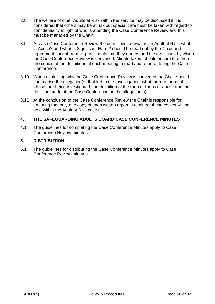- 3.8 The welfare of other Adults at Risk within the service may be discussed if it is considered that others may be at risk but special care must be taken with regard to confidentiality in light of who is attending the Case Conference Review and this must be managed by the Chair.
- 3.9 At each Case Conference Review the definitions, of what is an Adult at Risk, what is Abuse? and what is Significant Harm? should be read out by the Chair and agreement sought from all participants that they understand the definitions by which the Case Conference Review is convened. Minute takers should ensure that there are copies of the definitions at each meeting to read and refer to during the Case Conference.
- 3.10 When explaining why the Case Conference Review is convened the Chair should summarise the allegation(s) that led to the Investigation, what form or forms of abuse, are being investigated, the definition of the form or forms of abuse and the decision made at the Case Conference on the allegation(s).
- 3.11 At the conclusion of the Case Conference Review the Chair is responsible for ensuring that only one copy of each written report is retained, these copies will be held within the Adult at Risk case file.

## **4. THE SAFEGUARDING ADULTS BOARD CASE CONFERENCE MINUTES**

4.1 The guidelines for completing the Case Conference Minutes apply to Case Conference Review minutes.

## **5. DISTRIBUTION**

5.1 The guidelines for distributing the Case Conference Minutes apply to Case Conference Review minutes.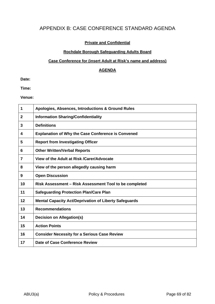# APPENDIX B: CASE CONFERENCE STANDARD AGENDA

#### **Private and Confidential**

#### **Rochdale Borough Safeguarding Adults Board**

#### **Case Conference for (insert Adult at Risk's name and address)**

#### **AGENDA**

**Date:** 

**Time:** 

**Venue:** 

| 1            | Apologies, Absences, Introductions & Ground Rules            |
|--------------|--------------------------------------------------------------|
| $\mathbf{2}$ | <b>Information Sharing/Confidentiality</b>                   |
| 3            | <b>Definitions</b>                                           |
| 4            | <b>Explanation of Why the Case Conference is Convened</b>    |
| 5            | <b>Report from Investigating Officer</b>                     |
| 6            | <b>Other Written/Verbal Reports</b>                          |
| 7            | View of the Adult at Risk /Carer/Advocate                    |
| 8            | View of the person allegedly causing harm                    |
| 9            | <b>Open Discussion</b>                                       |
| 10           | Risk Assessment - Risk Assessment Tool to be completed       |
| 11           | <b>Safeguarding Protection Plan/Care Plan</b>                |
| 12           | <b>Mental Capacity Act/Deprivation of Liberty Safeguards</b> |
| 13           | <b>Recommendations</b>                                       |
| 14           | <b>Decision on Allegation(s)</b>                             |
| 15           | <b>Action Points</b>                                         |
| 16           | <b>Consider Necessity for a Serious Case Review</b>          |
| 17           | Date of Case Conference Review                               |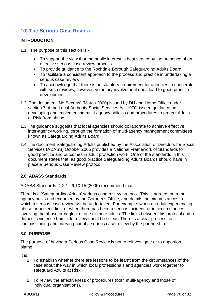# **10) The Serious Case Review**

## **INTRODUCTION**

- 1.1 The purpose of this section is:-
	- To support the view that the public interest is best served by the presence of an effective serious case review process.
	- To provide guidance to the Rochdale Borough Safeguarding Adults Board.
	- To facilitate a consistent approach to the process and practice in undertaking a serious case review.
	- To acknowledge that there is no statutory requirement for agencies to cooperate with such reviews, however, voluntary involvement does lead to good practice development.
- 1.2 The document 'No Secrets' (March 2000) issued by DH and Home Office under section 7 of the Local Authority Social Services Act 1970, issued guidance on developing and implementing multi-agency policies and procedures to protect Adults at Risk from abuse.
- 1.3 The guidance suggests that local agencies should collaborate to achieve effective inter-agency working, through the formation of multi-agency management committees known as Safeguarding Adults Board.
- 1.4 The document Safeguarding Adults published by the Association of Directors for Social Services (ADASS) October 2005 provides a National Framework of Standards for good practice and outcomes in adult protection work. One of the standards in this document states that, as good practice Safeguarding Adults Boards should have in place a Serious Case Review protocol.

## **2.0 ADASS Standards**

ADASS Standards: 1.22 – 9.10.15 (2005) recommend that:

There is a 'Safeguarding Adults' serious case review protocol. This is agreed, on a multiagency basis and endorsed by the Coroner's Office, and details the circumstances in which a serious case review will be undertaken. For example: when an adult experiencing abuse or neglect dies, or when there has been a serious incident, or in circumstances involving the abuse or neglect of one or more adults. The links between this protocol and a domestic violence homicide review should be clear. There is a clear process for commissioning and carrying out of a serious case review by the partnership.

## **3.0 PURPOSE**

The purpose of having a Serious Case Review is not to reinvestigate or to apportion blame.

It is:

- 1. To establish whether there are lessons to be learnt from the circumstances of the case about the way in which local professionals and agencies work together to safeguard Adults at Risk.
- 2. To review the effectiveness of procedures (both multi-agency and those of individual organisations).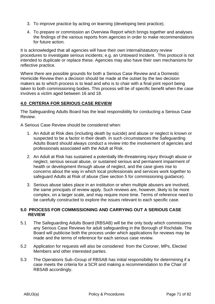- 3. To improve practice by acting on learning (developing best practice).
- 4. To prepare or commission an Overview Report which brings together and analyses the findings of the various reports from agencies in order to make recommendations for future action.

It is acknowledged that all agencies will have their own internal/statutory review procedures to investigate serious incidents; e.g. an Untoward Incident. This protocol is not intended to duplicate or replace these. Agencies may also have their own mechanisms for reflective practice.

Where there are possible grounds for both a Serious Case Review and a Domestic Homicide Review then a decision should be made at the outset by the two decision makers as to which process is to lead and who is to chair with a final joint report being taken to both commissioning bodies. This process will be of specific benefit when the case involves a victim aged between 16 and 18.

## **4.0 CRITERIA FOR SERIOUS CASE REVIEW**

The Safeguarding Adults Board has the lead responsibility for conducting a Serious Case Review.

A Serious Case Review should be considered when:

- 1. An Adult at Risk dies (including death by suicide) and abuse or neglect is known or suspected to be a factor in their death. In such circumstances the Safeguarding Adults Board should always conduct a review into the involvement of agencies and professionals associated with the Adult at Risk.
- 2. An Adult at Risk has sustained a potentially life-threatening injury through abuse or neglect, serious sexual abuse, or sustained serious and permanent impairment of health or development through abuse of neglect, and the case gives rise to concerns about the way in which local professionals and services work together to safeguard Adults at Risk of abuse (See section 5 for commissioning guidance).
- 3. Serious abuse takes place in an institution or when multiple abusers are involved, the same principals of review apply. Such reviews are, however, likely to be more complex, on a larger scale, and may require more time. Terms of reference need to be carefully constructed to explore the issues relevant to each specific case.

## **5.0 PROCESS FOR COMMISSIONING AND CARRYING OUT A SERIOUS CASE REVIEW**

- 5.1 The Safeguarding Adults Board (RBSAB) will be the only body which commissions any Serious Case Reviews for adult safeguarding in the Borough of Rochdale. The Board will publicise both the process under which applications for reviews may be made and the terms of reference for each serious case review.
- 5.2 Application for requests will also be considered from the Coroner, MPs, Elected Members and other interested parties.
- 5.3 The Operations Sub–Group of RBSAB has initial responsibility for determining if a case meets the criteria for a SCR and making a recommendation to the Chair of RBSAB accordingly.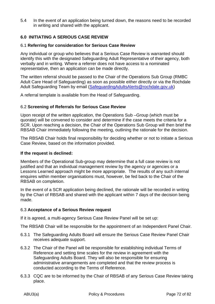5.4 In the event of an application being turned down, the reasons need to be recorded in writing and shared with the applicant.

## **6.0 INITIATING A SERIOUS CASE REVIEW**

#### 6.1 **Referring for consideration for Serious Case Review**

Any individual or group who believes that a Serious Case Review is warranted should identify this with the designated Safeguarding Adult Representative of their agency, both verbally and in writing. Where a referrer does not have access to a nominated representative, then an application can be made directly.

The written referral should be passed to the Chair of the Operations Sub Group (RMBC Adult Care Head of Safeguarding) as soon as possible either directly or via the Rochdale Adult Safeguarding Team by email (SafeguardingAdultsAlerts@rochdale.gov.uk)

A referral template is available from the Head of Safeguarding.

### 6.2 **Screening of Referrals for Serious Case Review**

Upon receipt of the written application, the Operations Sub –Group (which must be quorate) will be convened to consider and determine if the case meets the criteria for a SCR. Upon reaching a decision, the Chair of the Operations Sub Group will then brief the RBSAB Chair immediately following the meeting, outlining the rationale for the decision.

The RBSAB Chair holds final responsibility for deciding whether or not to initiate a Serious Case Review, based on the information provided.

#### **If the request is declined:**

Members of the Operational Sub-group may determine that a full case review is not justified and that an individual management review by the agency or agencies or a Lessons Learned approach might be more appropriate. The results of any such internal enquires within member organisations must, however, be fed back to the Chair of the RBSAB on completion.

In the event of a SCR application being declined, the rationale will be recorded in writing by the Chari of RBSAB and shared with the applicant within 7 days of the decision being made.

#### 6.3 **Acceptance of a Serious Review request**

If it is agreed, a multi-agency Serious Case Review Panel will be set up:

The RBSAB Chair will be responsible for the appointment of an Independent Panel Chair.

- 6.3.1 The Safeguarding Adults Board will ensure the Serious Case Review Panel Chair receives adequate support.
- 6.3.2 The Chair of the Panel will be responsible for establishing individual Terms of Reference and setting time scales for the review in agreement with the Safeguarding Adults Board. They will also be responsible for ensuring administrative arrangements are completed and that the review process is conducted according to the Terms of Reference.
- 6.3.3 CQC are to be informed by the Chair of RBSAB of any Serious Case Review taking place.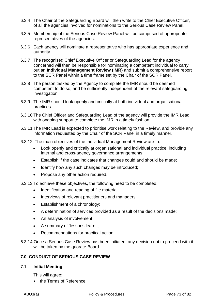- 6.3.4 The Chair of the Safeguarding Board will then write to the Chief Executive Officer, of all the agencies involved for nominations to the Serious Case Review Panel.
- 6.3.5 Membership of the Serious Case Review Panel will be comprised of appropriate representatives of the agencies.
- 6.3.6 Each agency will nominate a representative who has appropriate experience and authority.
- 6.3.7 The recognised Chief Executive Officer or Safeguarding Lead for the agency concerned will then be responsible for nominating a competent individual to carry out an **Individual Management Review (IMR)** and submit a comprehensive report to the SCR Panel within a time frame set by the Chair of the SCR Panel.
- 6.3.8 The person tasked by the Agency to complete the IMR should be deemed competent to do so, and be sufficiently independent of the relevant safeguarding investigation.
- 6.3.9 The IMR should look openly and critically at both individual and organisational practices.
- 6.3.10 The Chief Officer and Safeguarding Lead of the agency will provide the IMR Lead with ongoing support to complete the IMR in a timely fashion.
- 6.3.11 The IMR Lead is expected to prioritise work relating to the Review, and provide any information requested by the Chair of the SCR Panel in a timely manner.
- 6.3.12 The main objectives of the Individual Management Review are to:
	- Look openly and critically at organisational and individual practice, including internal and cross-agency governance arrangements;
	- Establish if the case indicates that changes could and should be made;
	- Identify how any such changes may be introduced;
	- Propose any other action required.

6.3.13 To achieve these objectives, the following need to be completed:

- Identification and reading of file material;
- Interviews of relevant practitioners and managers;
- Establishment of a chronology;
- A determination of services provided as a result of the decisions made;
- An analysis of involvement;
- A summary of 'lessons learnt';
- Recommendations for practical action.
- 6.3.14 Once a Serious Case Review has been initiated, any decision not to proceed with it will be taken by the quorate Board.

#### **7.0 CONDUCT OF SERIOUS CASE REVIEW**

#### 7.1 **Initial Meeting**

This will agree:

• the Terms of Reference: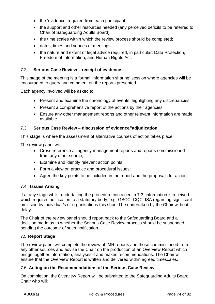- the 'evidence' required from each participant;
- the support and other resources needed (any perceived deficits to be referred to Chair of Safeguarding Adults Board);
- the time scales within which the review process should be completed;
- dates, times and venues of meetings;
- the nature and extent of legal advice required, in particular: Data Protection, Freedom of Information, and Human Rights Act.

#### 7.2 **Serious Case Review – receipt of evidence**

This stage of the meeting is a formal 'information sharing' session where agencies will be encouraged to query and comment on the reports presented.

Each agency involved will be asked to:

- Present and examine the chronology of events, highlighting any discrepancies
- Present a comprehensive report of the actions by their agencies
- Ensure any other management reports and other relevant information are made available

#### 7.3 **Serious Case Review – discussion of evidence/'adjudication'**

This stage is where the assessment of alternative courses of action takes place.

The review panel will:

- Cross-reference all agency management reports and reports commissioned from any other source;
- Examine and identify relevant action points;
- Form a view on practice and procedural issues;
- Agree the key points to be included in the report and the proposals for action.

#### 7.4 **Issues Arising**

If at any stage whilst undertaking the procedure contained in 7.3, information is received which requires notification to a statutory body, e.g. GSCC, CQC, ISA regarding significant omission by individual/s or organisations this should be undertaken by the Chair without delay.

The Chair of the review panel should report back to the Safeguarding Board and a decision made as to whether the Serious Case Review process should be suspended pending the outcome of such notification.

#### 7.5 **Report Stage**

The review panel will complete the review of IMR reports and those commissioned from any other sources and advise the Chair on the production of an Overview Report which brings together information, analyses it and makes recommendations. The Chair will ensure that the Overview Report is written and delivered within agreed timescales.

#### 7.6 **Acting on the Recommendations of the Serious Case Review**

On completion, the Overview Report will be submitted to the Safeguarding Adults Board Chair who will: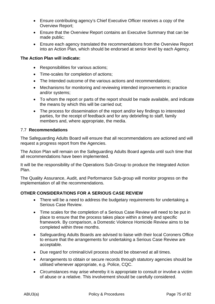- Ensure contributing agency's Chief Executive Officer receives a copy of the Overview Report;
- Ensure that the Overview Report contains an Executive Summary that can be made public;
- Ensure each agency translated the recommendations from the Overview Report into an Action Plan, which should be endorsed at senior level by each Agency.

#### **The Action Plan will indicate:**

- Responsibilities for various actions;
- Time-scales for completion of actions;
- The Intended outcome of the various actions and recommendations;
- Mechanisms for monitoring and reviewing intended improvements in practice and/or systems;
- To whom the report or parts of the report should be made available, and indicate the means by which this will be carried out;
- The process for dissemination of the report and/or key findings to interested parties, for the receipt of feedback and for any debriefing to staff, family members and, where appropriate, the media.

### 7.7 **Recommendations**

The Safeguarding Adults Board will ensure that all recommendations are actioned and will request a progress report from the Agencies.

The Action Plan will remain on the Safeguarding Adults Board agenda until such time that all recommendations have been implemented.

It will be the responsibility of the Operations Sub-Group to produce the Integrated Action Plan.

The Quality Assurance, Audit, and Performance Sub-group will monitor progress on the implementation of all the recommendations.

## **OTHER CONSIDERATIONS FOR A SERIOUS CASE REVIEW**

- There will be a need to address the budgetary requirements for undertaking a Serious Case Review.
- Time scales for the completion of a Serious Case Review will need to be put in place to ensure that the process takes place within a timely and specific framework. By comparison, a Domestic Violence Homicide Review aims to be completed within three months.
- Safeguarding Adults Boards are advised to liaise with their local Coroners Office to ensure that the arrangements for undertaking a Serious Case Review are acceptable.
- Due regard for criminal/civil process should be observed at all times.
- Arrangements to obtain or secure records through statutory agencies should be utilised whenever appropriate, e.g. Police, CQC.
- Circumstances may arise whereby it is appropriate to consult or involve a victim of abuse or a relative. This involvement should be carefully considered.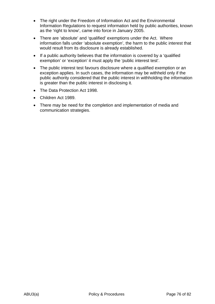- The right under the Freedom of Information Act and the Environmental Information Regulations to request information held by public authorities, known as the 'right to know', came into force in January 2005.
- There are 'absolute' and 'qualified' exemptions under the Act. Where information falls under 'absolute exemption', the harm to the public interest that would result from its disclosure is already established.
- If a public authority believes that the information is covered by a 'qualified exemption' or 'exception' it must apply the 'public interest test'.
- The public interest test favours disclosure where a qualified exemption or an exception applies. In such cases, the information may be withheld only if the public authority considered that the public interest in withholding the information is greater than the public interest in disclosing it.
- The Data Protection Act 1998.
- Children Act 1989.
- There may be need for the completion and implementation of media and communication strategies.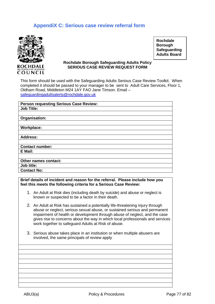# **AppendiX C: Serious case review referral form**



**Rochdale Borough Safeguarding Adults Board** 

#### **Rochdale Borough Safeguarding Adults Policy SERIOUS CASE REVIEW REQUEST FORM**

This form should be used with the Safeguarding Adults Serious Case Review Toolkit. When completed it should be passed to your manager to be sent to Adult Care Services, Floor 1, Oldham Road, Middleton M24 1AY FAO Jane Timson. Email – safeguardingadultsalerts@rochdale.gov.uk

| <b>Person requesting Serious Case Review:</b> |
|-----------------------------------------------|
| <b>Job Title:</b>                             |
|                                               |
| Organisation:                                 |
|                                               |
| Workplace:                                    |
|                                               |
| <b>Address:</b>                               |
|                                               |
| <b>Contact number:</b>                        |
| E Mail:                                       |
|                                               |
| Other names contact:                          |
| Job title:                                    |
| <b>Contact No:</b>                            |
|                                               |

**Brief details of incident and reason for the referral. Please include how you feel this meets the following criteria for a Serious Case Review:** 

- 1. An Adult at Risk dies (including death by suicide) and abuse or neglect is known or suspected to be a factor in their death.
- 2. An Adult at Risk has sustained a potentially life-threatening injury through abuse or neglect, serious sexual abuse, or sustained serious and permanent impairment of health or development through abuse of neglect, and the case gives rise to concerns about the way in which local professionals and services work together to safeguard Adults at Risk of abuse.
- 3. Serious abuse takes place in an institution or when multiple abusers are involved, the same principals of review apply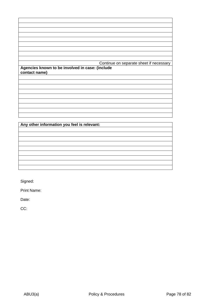|                                                 | Continue on separate sheet if necessary |
|-------------------------------------------------|-----------------------------------------|
| Agencies known to be involved in case: (include |                                         |
| contact name)                                   |                                         |
|                                                 |                                         |
|                                                 |                                         |
|                                                 |                                         |
|                                                 |                                         |
|                                                 |                                         |
|                                                 |                                         |
|                                                 |                                         |
|                                                 |                                         |
|                                                 |                                         |

**Any other information you feel is relevant:** 

Signed:

Print Name:

Date:

CC: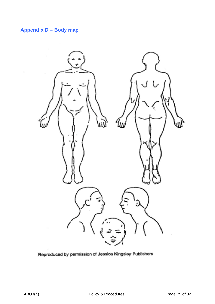# **Appendix D – Body map**



Reproduced by permission of Jessica Kingsley Publishers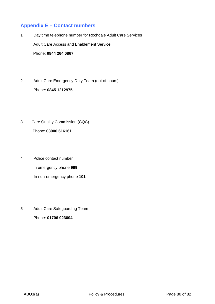# **Appendix E – Contact numbers**

- 1 Day time telephone number for Rochdale Adult Care Services Adult Care Access and Enablement Service Phone: **0844 264 0867**
- 2 Adult Care Emergency Duty Team (out of hours) Phone: **0845 1212975**
- 3 Care Quality Commission (CQC) Phone: **03000 616161**
- 4 Police contact number In emergency phone **999** In non-emergency phone **101**
- 5 Adult Care Safeguarding Team Phone: **01706 923004**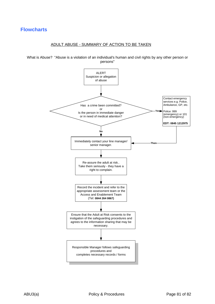## **Flowcharts**

#### ADULT ABUSE - SUMMARY OF ACTION TO BE TAKEN

What is Abuse? "Abuse is a violation of an individual's human and civil rights by any other person or persons"